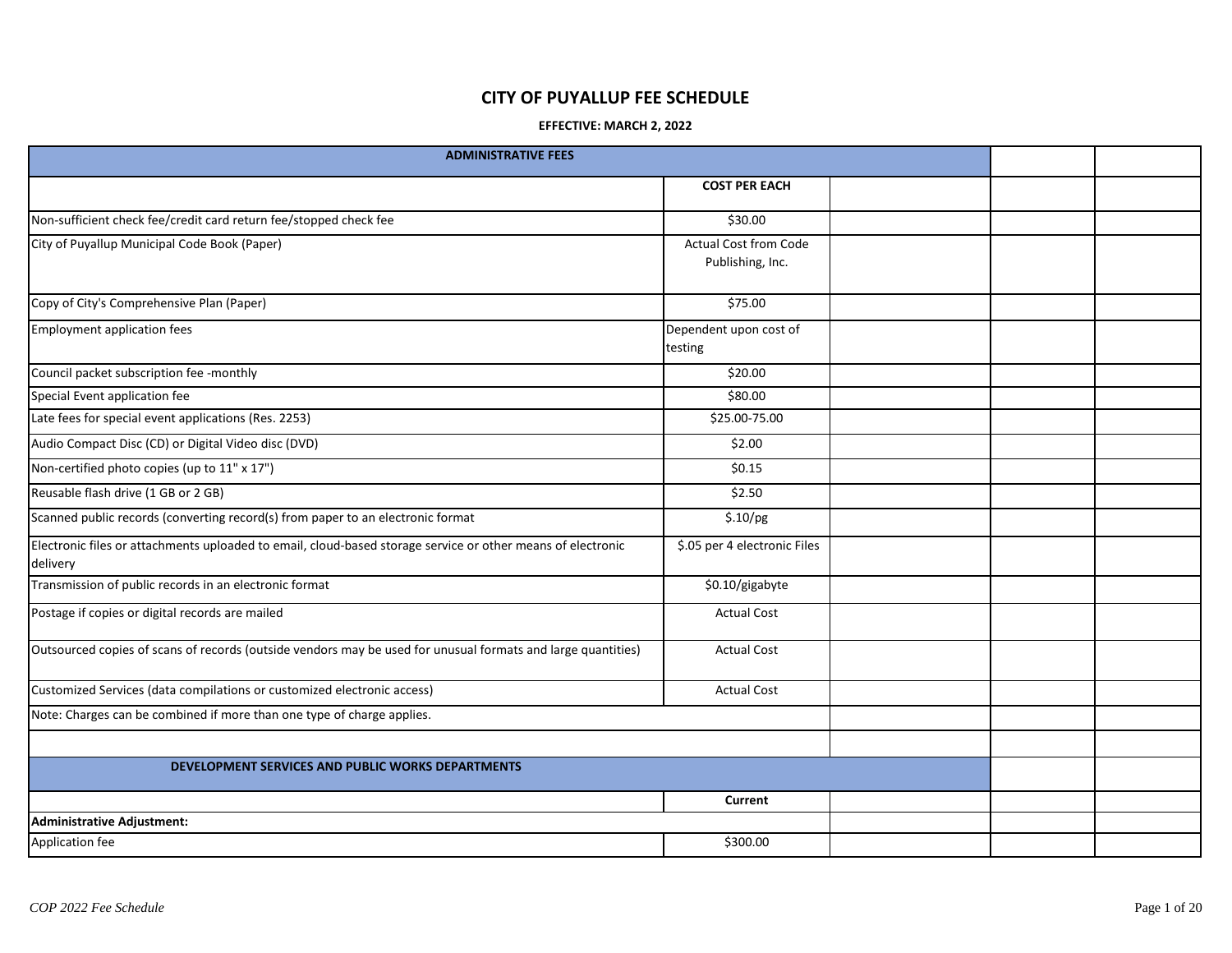## **CITY OF PUYALLUP FEE SCHEDULE**

## **EFFECTIVE: MARCH 2, 2022**

| <b>ADMINISTRATIVE FEES</b>                                                                                              |                                                  |  |  |
|-------------------------------------------------------------------------------------------------------------------------|--------------------------------------------------|--|--|
|                                                                                                                         | <b>COST PER EACH</b>                             |  |  |
| Non-sufficient check fee/credit card return fee/stopped check fee                                                       | \$30.00                                          |  |  |
| City of Puyallup Municipal Code Book (Paper)                                                                            | <b>Actual Cost from Code</b><br>Publishing, Inc. |  |  |
| Copy of City's Comprehensive Plan (Paper)                                                                               | \$75.00                                          |  |  |
| <b>Employment application fees</b>                                                                                      | Dependent upon cost of<br>testing                |  |  |
| Council packet subscription fee -monthly                                                                                | \$20.00                                          |  |  |
| Special Event application fee                                                                                           | \$80.00                                          |  |  |
| Late fees for special event applications (Res. 2253)                                                                    | \$25.00-75.00                                    |  |  |
| Audio Compact Disc (CD) or Digital Video disc (DVD)                                                                     | \$2.00                                           |  |  |
| Non-certified photo copies (up to 11" x 17")                                                                            | \$0.15                                           |  |  |
| Reusable flash drive (1 GB or 2 GB)                                                                                     | \$2.50                                           |  |  |
| Scanned public records (converting record(s) from paper to an electronic format                                         | \$.10/pg                                         |  |  |
| Electronic files or attachments uploaded to email, cloud-based storage service or other means of electronic<br>delivery | \$.05 per 4 electronic Files                     |  |  |
| Transmission of public records in an electronic format                                                                  | \$0.10/gigabyte                                  |  |  |
| Postage if copies or digital records are mailed                                                                         | <b>Actual Cost</b>                               |  |  |
| Outsourced copies of scans of records (outside vendors may be used for unusual formats and large quantities)            | <b>Actual Cost</b>                               |  |  |
| Customized Services (data compilations or customized electronic access)                                                 | <b>Actual Cost</b>                               |  |  |
| Note: Charges can be combined if more than one type of charge applies.                                                  |                                                  |  |  |
|                                                                                                                         |                                                  |  |  |
| DEVELOPMENT SERVICES AND PUBLIC WORKS DEPARTMENTS                                                                       |                                                  |  |  |
|                                                                                                                         | Current                                          |  |  |
| <b>Administrative Adjustment:</b>                                                                                       |                                                  |  |  |
| Application fee                                                                                                         | \$300.00                                         |  |  |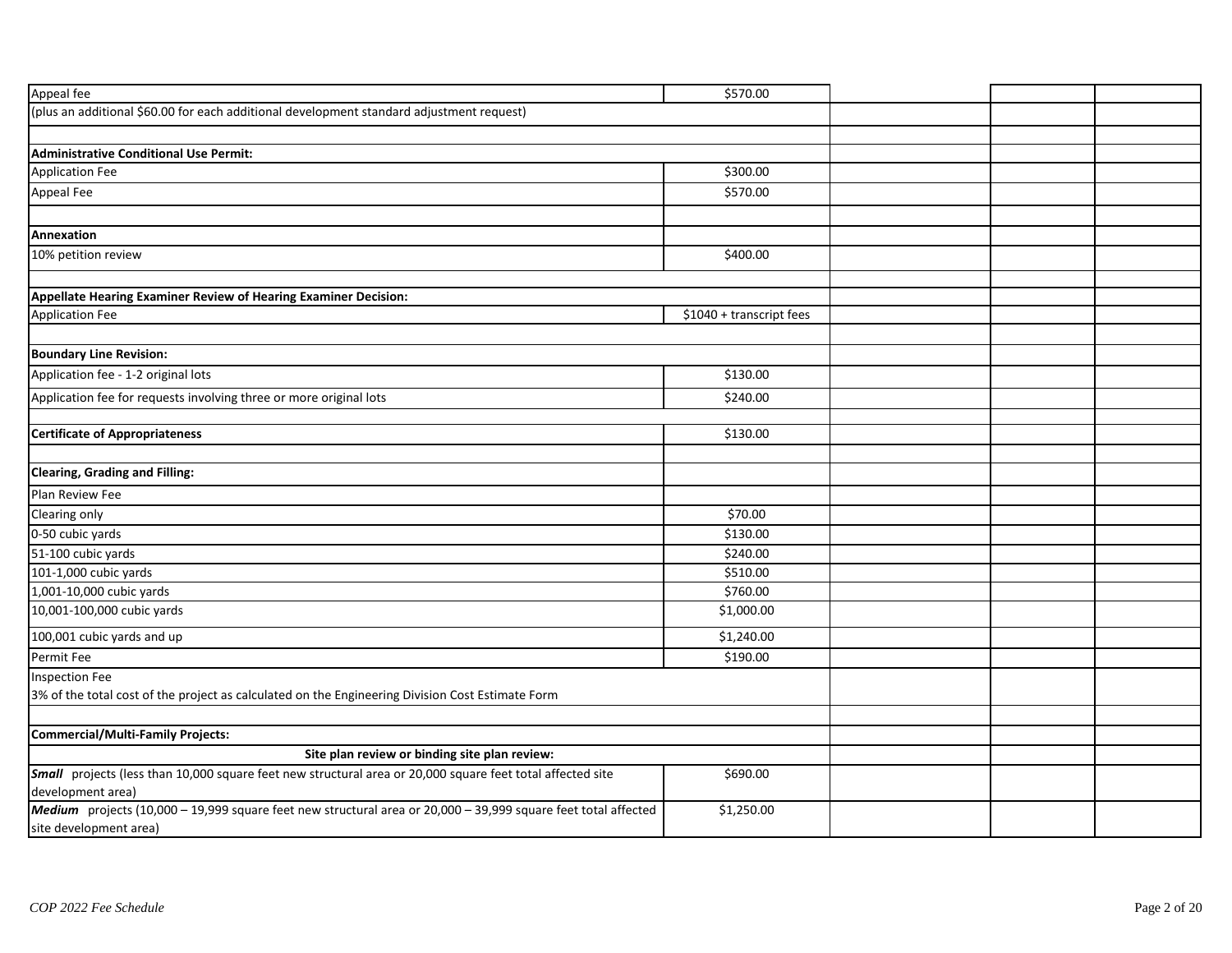| Appeal fee                                                                                                                               | \$570.00                 |  |  |
|------------------------------------------------------------------------------------------------------------------------------------------|--------------------------|--|--|
| (plus an additional \$60.00 for each additional development standard adjustment request)                                                 |                          |  |  |
|                                                                                                                                          |                          |  |  |
| <b>Administrative Conditional Use Permit:</b>                                                                                            |                          |  |  |
| <b>Application Fee</b>                                                                                                                   | \$300.00                 |  |  |
| Appeal Fee                                                                                                                               | \$570.00                 |  |  |
|                                                                                                                                          |                          |  |  |
| Annexation                                                                                                                               |                          |  |  |
| 10% petition review                                                                                                                      | \$400.00                 |  |  |
|                                                                                                                                          |                          |  |  |
| Appellate Hearing Examiner Review of Hearing Examiner Decision:                                                                          |                          |  |  |
| <b>Application Fee</b>                                                                                                                   | \$1040 + transcript fees |  |  |
| <b>Boundary Line Revision:</b>                                                                                                           |                          |  |  |
| Application fee - 1-2 original lots                                                                                                      | \$130.00                 |  |  |
| Application fee for requests involving three or more original lots                                                                       | \$240.00                 |  |  |
|                                                                                                                                          |                          |  |  |
| <b>Certificate of Appropriateness</b>                                                                                                    | \$130.00                 |  |  |
|                                                                                                                                          |                          |  |  |
| <b>Clearing, Grading and Filling:</b>                                                                                                    |                          |  |  |
| Plan Review Fee                                                                                                                          |                          |  |  |
| Clearing only                                                                                                                            | \$70.00                  |  |  |
| 0-50 cubic yards                                                                                                                         | \$130.00                 |  |  |
| 51-100 cubic yards                                                                                                                       | \$240.00                 |  |  |
| 101-1,000 cubic yards                                                                                                                    | \$510.00                 |  |  |
| 1,001-10,000 cubic yards                                                                                                                 | \$760.00                 |  |  |
| 10,001-100,000 cubic yards                                                                                                               | \$1,000.00               |  |  |
| 100,001 cubic yards and up                                                                                                               | \$1,240.00               |  |  |
| Permit Fee                                                                                                                               | \$190.00                 |  |  |
| <b>Inspection Fee</b>                                                                                                                    |                          |  |  |
| 3% of the total cost of the project as calculated on the Engineering Division Cost Estimate Form                                         |                          |  |  |
|                                                                                                                                          |                          |  |  |
| Commercial/Multi-Family Projects:                                                                                                        |                          |  |  |
| Site plan review or binding site plan review:                                                                                            |                          |  |  |
| Small projects (less than 10,000 square feet new structural area or 20,000 square feet total affected site<br>development area)          | \$690.00                 |  |  |
| Medium projects (10,000 - 19,999 square feet new structural area or 20,000 - 39,999 square feet total affected<br>site development area) | \$1,250.00               |  |  |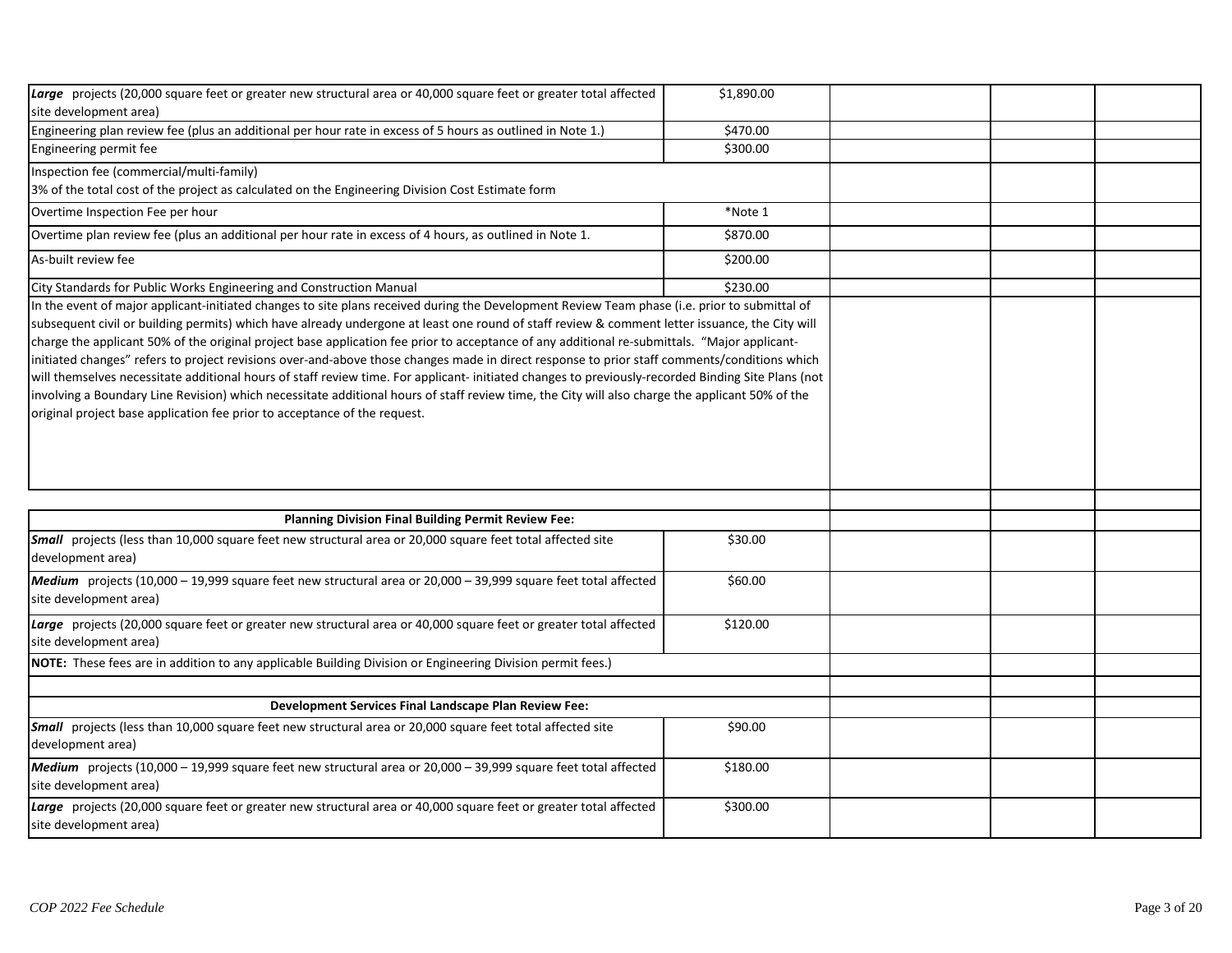| Large projects (20,000 square feet or greater new structural area or 40,000 square feet or greater total affected<br>site development area)                                                                                                                                                                                                                                                                                                                                                                                                                                                                                                                                                                                                                                                                                          | \$1,890.00 |  |  |
|--------------------------------------------------------------------------------------------------------------------------------------------------------------------------------------------------------------------------------------------------------------------------------------------------------------------------------------------------------------------------------------------------------------------------------------------------------------------------------------------------------------------------------------------------------------------------------------------------------------------------------------------------------------------------------------------------------------------------------------------------------------------------------------------------------------------------------------|------------|--|--|
| Engineering plan review fee (plus an additional per hour rate in excess of 5 hours as outlined in Note 1.)                                                                                                                                                                                                                                                                                                                                                                                                                                                                                                                                                                                                                                                                                                                           | \$470.00   |  |  |
| Engineering permit fee                                                                                                                                                                                                                                                                                                                                                                                                                                                                                                                                                                                                                                                                                                                                                                                                               | \$300.00   |  |  |
| Inspection fee (commercial/multi-family)<br>3% of the total cost of the project as calculated on the Engineering Division Cost Estimate form                                                                                                                                                                                                                                                                                                                                                                                                                                                                                                                                                                                                                                                                                         |            |  |  |
| Overtime Inspection Fee per hour                                                                                                                                                                                                                                                                                                                                                                                                                                                                                                                                                                                                                                                                                                                                                                                                     | *Note 1    |  |  |
| Overtime plan review fee (plus an additional per hour rate in excess of 4 hours, as outlined in Note 1.                                                                                                                                                                                                                                                                                                                                                                                                                                                                                                                                                                                                                                                                                                                              | \$870.00   |  |  |
| As-built review fee                                                                                                                                                                                                                                                                                                                                                                                                                                                                                                                                                                                                                                                                                                                                                                                                                  | \$200.00   |  |  |
| City Standards for Public Works Engineering and Construction Manual                                                                                                                                                                                                                                                                                                                                                                                                                                                                                                                                                                                                                                                                                                                                                                  | \$230.00   |  |  |
| subsequent civil or building permits) which have already undergone at least one round of staff review & comment letter issuance, the City will<br>charge the applicant 50% of the original project base application fee prior to acceptance of any additional re-submittals. "Major applicant-<br>initiated changes" refers to project revisions over-and-above those changes made in direct response to prior staff comments/conditions which<br>will themselves necessitate additional hours of staff review time. For applicant- initiated changes to previously-recorded Binding Site Plans (not<br>involving a Boundary Line Revision) which necessitate additional hours of staff review time, the City will also charge the applicant 50% of the<br>original project base application fee prior to acceptance of the request. |            |  |  |
| Planning Division Final Building Permit Review Fee:                                                                                                                                                                                                                                                                                                                                                                                                                                                                                                                                                                                                                                                                                                                                                                                  |            |  |  |
| Small projects (less than 10,000 square feet new structural area or 20,000 square feet total affected site<br>development area)                                                                                                                                                                                                                                                                                                                                                                                                                                                                                                                                                                                                                                                                                                      | \$30.00    |  |  |
| Medium projects (10,000 - 19,999 square feet new structural area or 20,000 - 39,999 square feet total affected<br>site development area)                                                                                                                                                                                                                                                                                                                                                                                                                                                                                                                                                                                                                                                                                             | \$60.00    |  |  |
| Large projects (20,000 square feet or greater new structural area or 40,000 square feet or greater total affected<br>site development area)                                                                                                                                                                                                                                                                                                                                                                                                                                                                                                                                                                                                                                                                                          | \$120.00   |  |  |
| NOTE: These fees are in addition to any applicable Building Division or Engineering Division permit fees.)                                                                                                                                                                                                                                                                                                                                                                                                                                                                                                                                                                                                                                                                                                                           |            |  |  |
|                                                                                                                                                                                                                                                                                                                                                                                                                                                                                                                                                                                                                                                                                                                                                                                                                                      |            |  |  |
| <b>Development Services Final Landscape Plan Review Fee:</b>                                                                                                                                                                                                                                                                                                                                                                                                                                                                                                                                                                                                                                                                                                                                                                         |            |  |  |
| <b>Small</b> projects (less than 10,000 square feet new structural area or 20,000 square feet total affected site<br>development area)                                                                                                                                                                                                                                                                                                                                                                                                                                                                                                                                                                                                                                                                                               | \$90.00    |  |  |
| Medium projects (10,000 - 19,999 square feet new structural area or 20,000 - 39,999 square feet total affected<br>site development area)                                                                                                                                                                                                                                                                                                                                                                                                                                                                                                                                                                                                                                                                                             | \$180.00   |  |  |
| Large projects (20,000 square feet or greater new structural area or 40,000 square feet or greater total affected<br>site development area)                                                                                                                                                                                                                                                                                                                                                                                                                                                                                                                                                                                                                                                                                          | \$300.00   |  |  |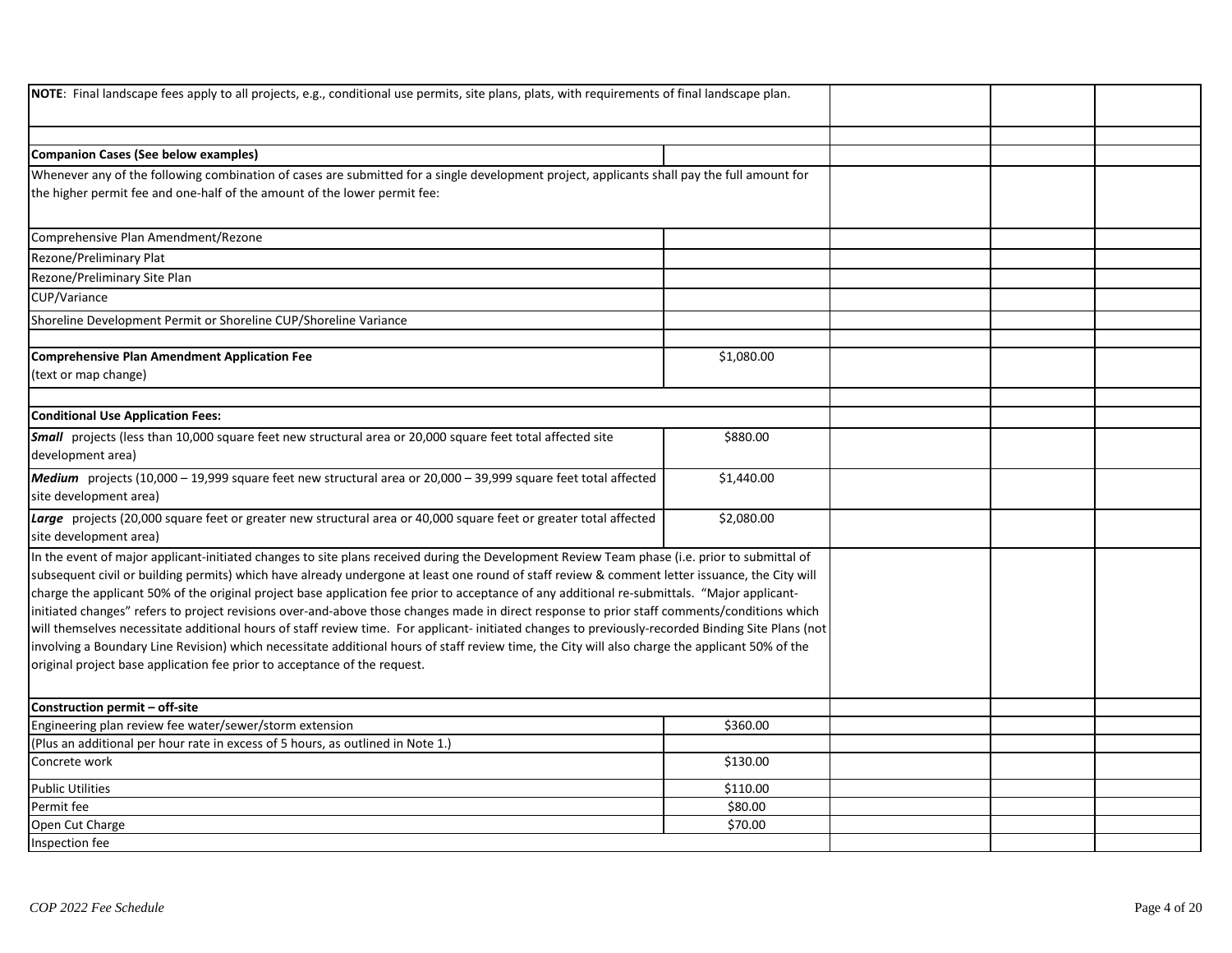| <b>NOTE</b> : Final landscape fees apply to all projects, e.g., conditional use permits, site plans, plats, with requirements of final landscape plan.                                                                                                                                                                                                                                                                                                                                                                                                                                                                                                                                                                                                                                                                                                                                                                                                                                |            |  |  |
|---------------------------------------------------------------------------------------------------------------------------------------------------------------------------------------------------------------------------------------------------------------------------------------------------------------------------------------------------------------------------------------------------------------------------------------------------------------------------------------------------------------------------------------------------------------------------------------------------------------------------------------------------------------------------------------------------------------------------------------------------------------------------------------------------------------------------------------------------------------------------------------------------------------------------------------------------------------------------------------|------------|--|--|
|                                                                                                                                                                                                                                                                                                                                                                                                                                                                                                                                                                                                                                                                                                                                                                                                                                                                                                                                                                                       |            |  |  |
| Companion Cases (See below examples)                                                                                                                                                                                                                                                                                                                                                                                                                                                                                                                                                                                                                                                                                                                                                                                                                                                                                                                                                  |            |  |  |
| Whenever any of the following combination of cases are submitted for a single development project, applicants shall pay the full amount for<br>the higher permit fee and one-half of the amount of the lower permit fee:                                                                                                                                                                                                                                                                                                                                                                                                                                                                                                                                                                                                                                                                                                                                                              |            |  |  |
| Comprehensive Plan Amendment/Rezone                                                                                                                                                                                                                                                                                                                                                                                                                                                                                                                                                                                                                                                                                                                                                                                                                                                                                                                                                   |            |  |  |
| Rezone/Preliminary Plat                                                                                                                                                                                                                                                                                                                                                                                                                                                                                                                                                                                                                                                                                                                                                                                                                                                                                                                                                               |            |  |  |
| Rezone/Preliminary Site Plan                                                                                                                                                                                                                                                                                                                                                                                                                                                                                                                                                                                                                                                                                                                                                                                                                                                                                                                                                          |            |  |  |
| CUP/Variance                                                                                                                                                                                                                                                                                                                                                                                                                                                                                                                                                                                                                                                                                                                                                                                                                                                                                                                                                                          |            |  |  |
| Shoreline Development Permit or Shoreline CUP/Shoreline Variance                                                                                                                                                                                                                                                                                                                                                                                                                                                                                                                                                                                                                                                                                                                                                                                                                                                                                                                      |            |  |  |
|                                                                                                                                                                                                                                                                                                                                                                                                                                                                                                                                                                                                                                                                                                                                                                                                                                                                                                                                                                                       |            |  |  |
| Comprehensive Plan Amendment Application Fee<br>(text or map change)                                                                                                                                                                                                                                                                                                                                                                                                                                                                                                                                                                                                                                                                                                                                                                                                                                                                                                                  | \$1,080.00 |  |  |
|                                                                                                                                                                                                                                                                                                                                                                                                                                                                                                                                                                                                                                                                                                                                                                                                                                                                                                                                                                                       |            |  |  |
| <b>Conditional Use Application Fees:</b>                                                                                                                                                                                                                                                                                                                                                                                                                                                                                                                                                                                                                                                                                                                                                                                                                                                                                                                                              |            |  |  |
| Small projects (less than 10,000 square feet new structural area or 20,000 square feet total affected site<br>development area)                                                                                                                                                                                                                                                                                                                                                                                                                                                                                                                                                                                                                                                                                                                                                                                                                                                       | \$880.00   |  |  |
| Medium projects (10,000 - 19,999 square feet new structural area or 20,000 - 39,999 square feet total affected<br>site development area)                                                                                                                                                                                                                                                                                                                                                                                                                                                                                                                                                                                                                                                                                                                                                                                                                                              | \$1,440.00 |  |  |
| Large projects (20,000 square feet or greater new structural area or 40,000 square feet or greater total affected<br>site development area)                                                                                                                                                                                                                                                                                                                                                                                                                                                                                                                                                                                                                                                                                                                                                                                                                                           | \$2,080.00 |  |  |
| In the event of major applicant-initiated changes to site plans received during the Development Review Team phase (i.e. prior to submittal of<br>subsequent civil or building permits) which have already undergone at least one round of staff review & comment letter issuance, the City will<br>charge the applicant 50% of the original project base application fee prior to acceptance of any additional re-submittals. "Major applicant-<br>initiated changes" refers to project revisions over-and-above those changes made in direct response to prior staff comments/conditions which<br>will themselves necessitate additional hours of staff review time. For applicant- initiated changes to previously-recorded Binding Site Plans (not<br>involving a Boundary Line Revision) which necessitate additional hours of staff review time, the City will also charge the applicant 50% of the<br>original project base application fee prior to acceptance of the request. |            |  |  |
| Construction permit - off-site                                                                                                                                                                                                                                                                                                                                                                                                                                                                                                                                                                                                                                                                                                                                                                                                                                                                                                                                                        |            |  |  |
| Engineering plan review fee water/sewer/storm extension                                                                                                                                                                                                                                                                                                                                                                                                                                                                                                                                                                                                                                                                                                                                                                                                                                                                                                                               | \$360.00   |  |  |
| (Plus an additional per hour rate in excess of 5 hours, as outlined in Note 1.)                                                                                                                                                                                                                                                                                                                                                                                                                                                                                                                                                                                                                                                                                                                                                                                                                                                                                                       |            |  |  |
| Concrete work                                                                                                                                                                                                                                                                                                                                                                                                                                                                                                                                                                                                                                                                                                                                                                                                                                                                                                                                                                         | \$130.00   |  |  |
| <b>Public Utilities</b>                                                                                                                                                                                                                                                                                                                                                                                                                                                                                                                                                                                                                                                                                                                                                                                                                                                                                                                                                               | \$110.00   |  |  |
| Permit fee                                                                                                                                                                                                                                                                                                                                                                                                                                                                                                                                                                                                                                                                                                                                                                                                                                                                                                                                                                            | \$80.00    |  |  |
| Open Cut Charge                                                                                                                                                                                                                                                                                                                                                                                                                                                                                                                                                                                                                                                                                                                                                                                                                                                                                                                                                                       | \$70.00    |  |  |
| Inspection fee                                                                                                                                                                                                                                                                                                                                                                                                                                                                                                                                                                                                                                                                                                                                                                                                                                                                                                                                                                        |            |  |  |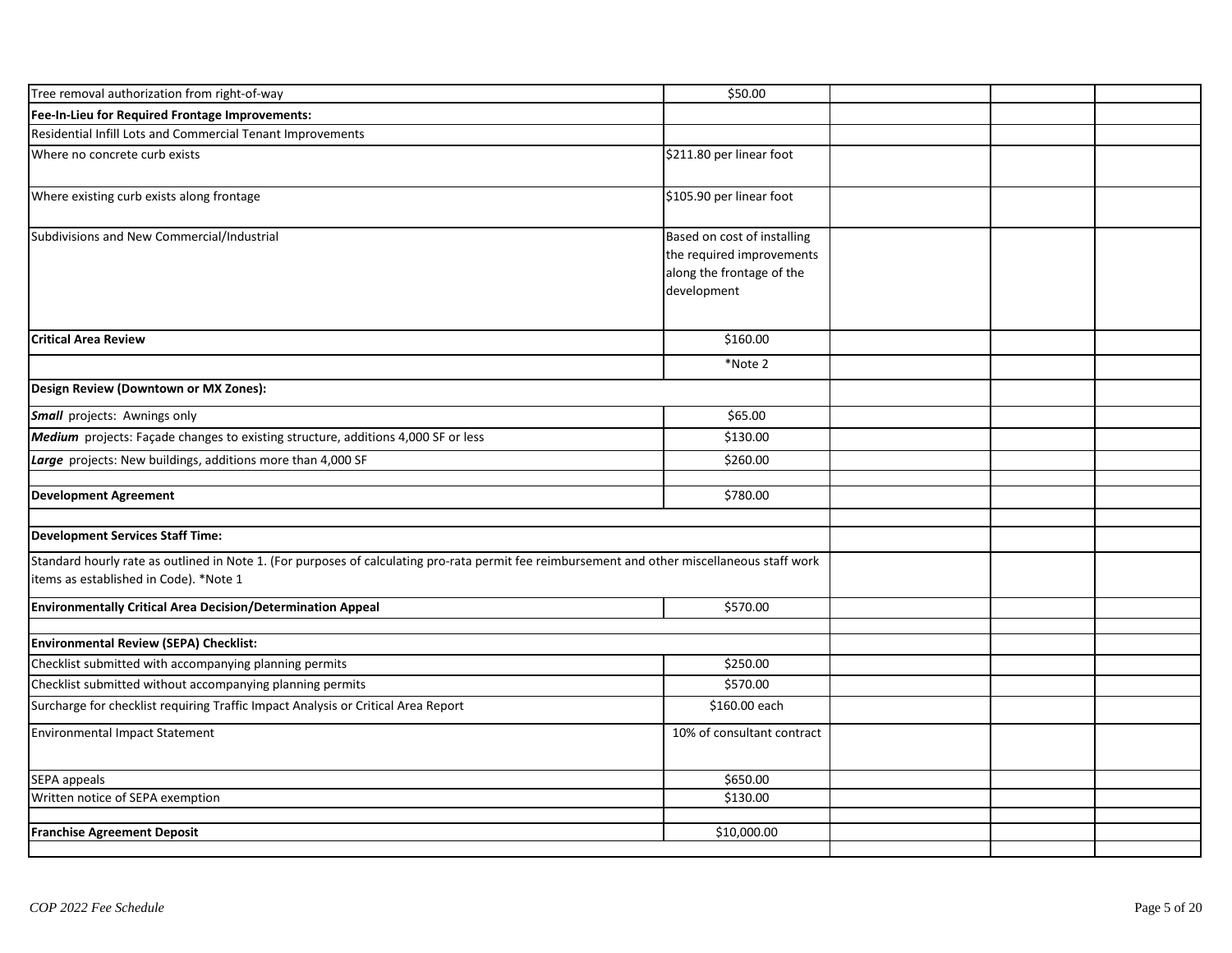| Tree removal authorization from right-of-way                                                                                                                                            | \$50.00                                                                                              |  |  |
|-----------------------------------------------------------------------------------------------------------------------------------------------------------------------------------------|------------------------------------------------------------------------------------------------------|--|--|
| Fee-In-Lieu for Required Frontage Improvements:                                                                                                                                         |                                                                                                      |  |  |
| Residential Infill Lots and Commercial Tenant Improvements                                                                                                                              |                                                                                                      |  |  |
| Where no concrete curb exists                                                                                                                                                           | \$211.80 per linear foot                                                                             |  |  |
| Where existing curb exists along frontage                                                                                                                                               | \$105.90 per linear foot                                                                             |  |  |
| Subdivisions and New Commercial/Industrial                                                                                                                                              | Based on cost of installing<br>the required improvements<br>along the frontage of the<br>development |  |  |
| <b>Critical Area Review</b>                                                                                                                                                             | \$160.00                                                                                             |  |  |
|                                                                                                                                                                                         | *Note 2                                                                                              |  |  |
| Design Review (Downtown or MX Zones):                                                                                                                                                   |                                                                                                      |  |  |
| Small projects: Awnings only                                                                                                                                                            | \$65.00                                                                                              |  |  |
| Medium projects: Façade changes to existing structure, additions 4,000 SF or less                                                                                                       | \$130.00                                                                                             |  |  |
| Large projects: New buildings, additions more than 4,000 SF                                                                                                                             | \$260.00                                                                                             |  |  |
| <b>Development Agreement</b>                                                                                                                                                            | \$780.00                                                                                             |  |  |
| <b>Development Services Staff Time:</b>                                                                                                                                                 |                                                                                                      |  |  |
| Standard hourly rate as outlined in Note 1. (For purposes of calculating pro-rata permit fee reimbursement and other miscellaneous staff work<br>items as established in Code). *Note 1 |                                                                                                      |  |  |
| Environmentally Critical Area Decision/Determination Appeal                                                                                                                             | \$570.00                                                                                             |  |  |
|                                                                                                                                                                                         |                                                                                                      |  |  |
| Environmental Review (SEPA) Checklist:<br>Checklist submitted with accompanying planning permits                                                                                        | \$250.00                                                                                             |  |  |
| Checklist submitted without accompanying planning permits                                                                                                                               | \$570.00                                                                                             |  |  |
| Surcharge for checklist requiring Traffic Impact Analysis or Critical Area Report                                                                                                       | \$160.00 each                                                                                        |  |  |
|                                                                                                                                                                                         |                                                                                                      |  |  |
| <b>Environmental Impact Statement</b>                                                                                                                                                   | 10% of consultant contract                                                                           |  |  |
| SEPA appeals                                                                                                                                                                            | \$650.00                                                                                             |  |  |
| Written notice of SEPA exemption                                                                                                                                                        | \$130.00                                                                                             |  |  |
|                                                                                                                                                                                         |                                                                                                      |  |  |
| <b>Franchise Agreement Deposit</b>                                                                                                                                                      | \$10,000.00                                                                                          |  |  |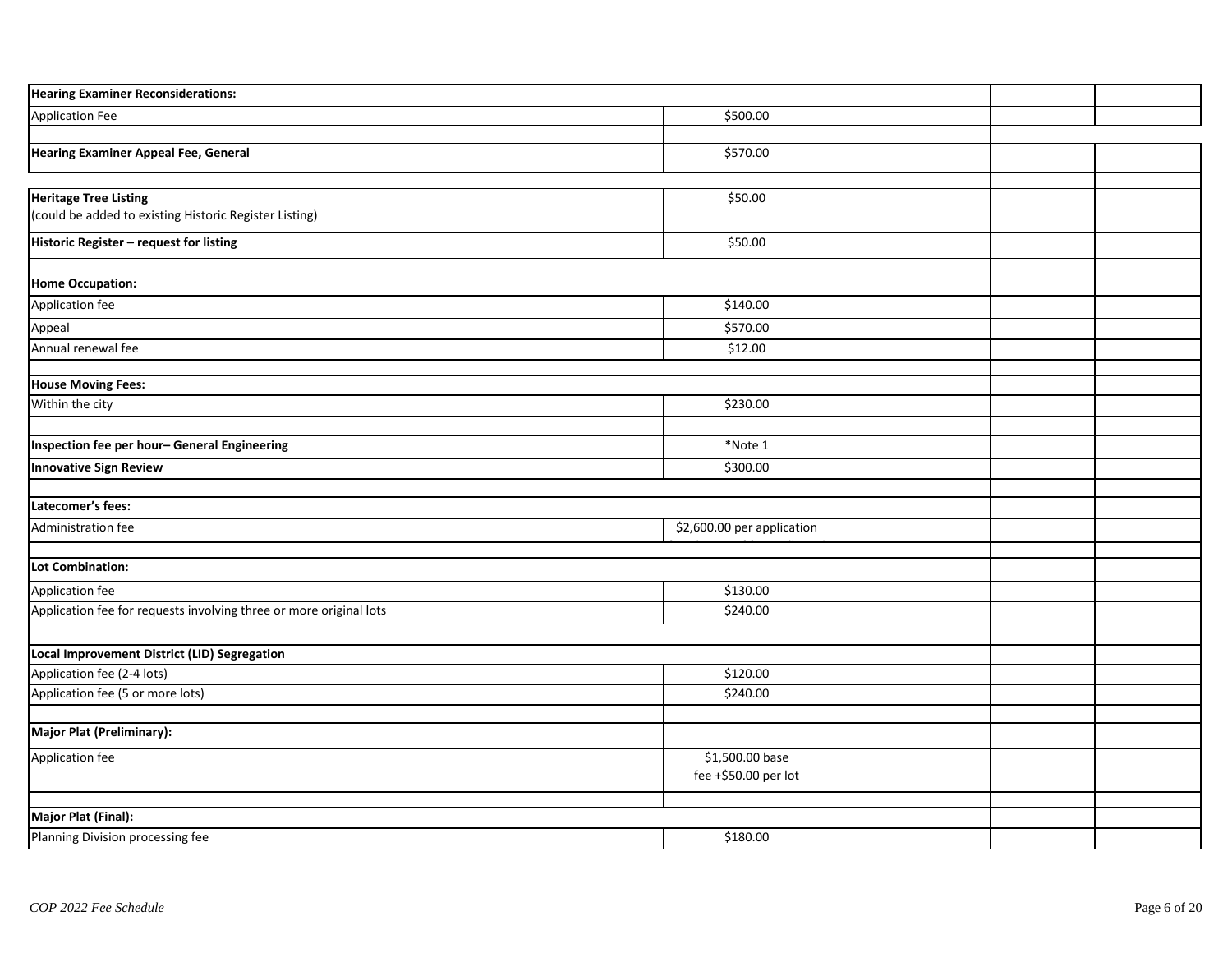| <b>Hearing Examiner Reconsiderations:</b>                          |                                         |  |  |
|--------------------------------------------------------------------|-----------------------------------------|--|--|
| <b>Application Fee</b>                                             | \$500.00                                |  |  |
|                                                                    |                                         |  |  |
| <b>Hearing Examiner Appeal Fee, General</b>                        | \$570.00                                |  |  |
| <b>Heritage Tree Listing</b>                                       | 550.00                                  |  |  |
| (could be added to existing Historic Register Listing)             |                                         |  |  |
| Historic Register - request for listing                            | \$50.00                                 |  |  |
| <b>Home Occupation:</b>                                            |                                         |  |  |
| Application fee                                                    | \$140.00                                |  |  |
| Appeal                                                             | \$570.00                                |  |  |
| Annual renewal fee                                                 | \$12.00                                 |  |  |
|                                                                    |                                         |  |  |
| <b>House Moving Fees:</b>                                          | \$230.00                                |  |  |
| Within the city                                                    |                                         |  |  |
| Inspection fee per hour- General Engineering                       | *Note 1                                 |  |  |
| <b>Innovative Sign Review</b>                                      | \$300.00                                |  |  |
|                                                                    |                                         |  |  |
| Latecomer's fees:                                                  |                                         |  |  |
| Administration fee                                                 | \$2,600.00 per application              |  |  |
|                                                                    |                                         |  |  |
| Lot Combination:                                                   |                                         |  |  |
| Application fee                                                    | \$130.00                                |  |  |
| Application fee for requests involving three or more original lots | \$240.00                                |  |  |
|                                                                    |                                         |  |  |
| Local Improvement District (LID) Segregation                       |                                         |  |  |
| Application fee (2-4 lots)<br>Application fee (5 or more lots)     | \$120.00<br>\$240.00                    |  |  |
|                                                                    |                                         |  |  |
| <b>Major Plat (Preliminary):</b>                                   |                                         |  |  |
| Application fee                                                    | \$1,500.00 base<br>fee +\$50.00 per lot |  |  |
|                                                                    |                                         |  |  |
| Major Plat (Final):                                                |                                         |  |  |
| Planning Division processing fee                                   | \$180.00                                |  |  |
|                                                                    |                                         |  |  |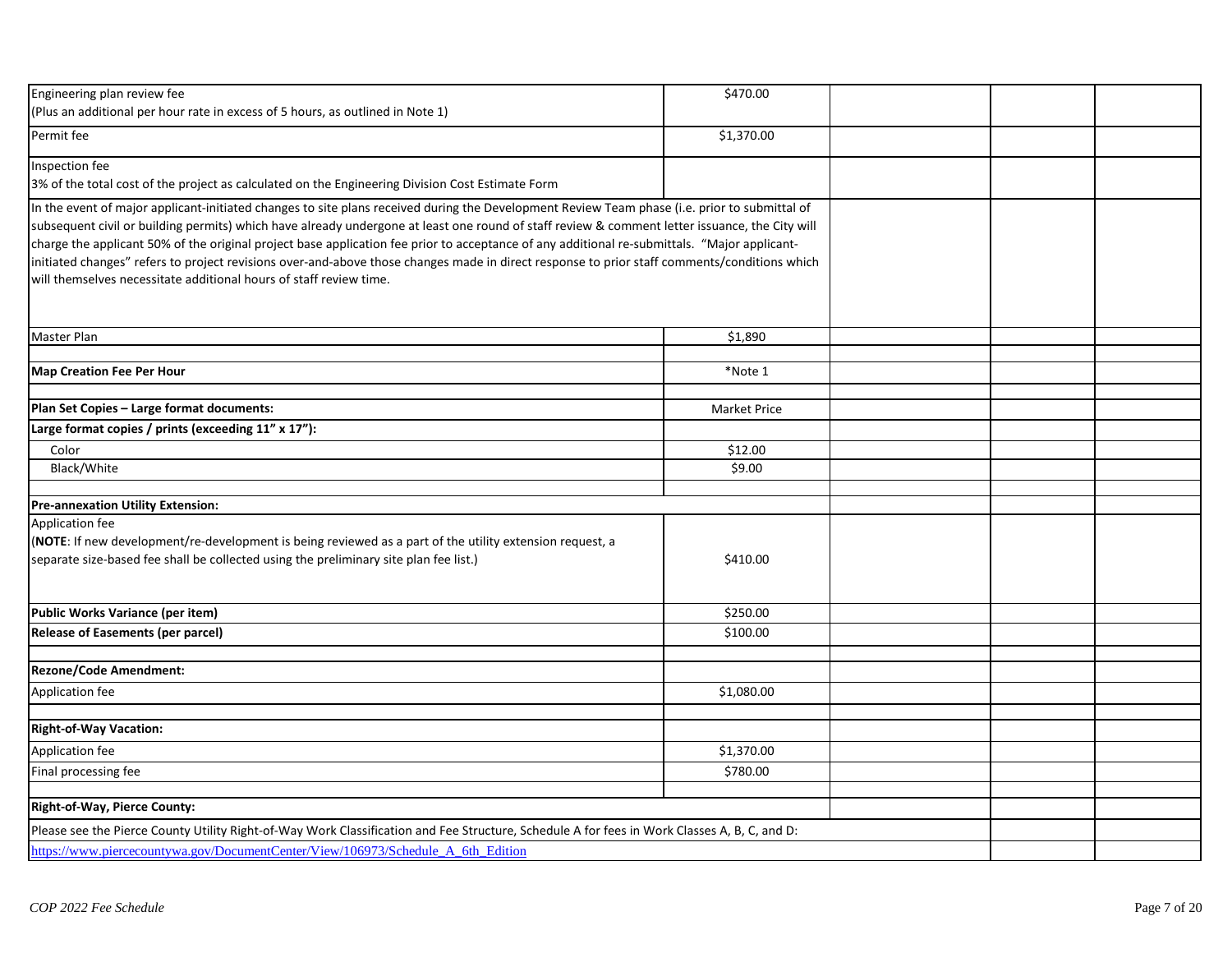| Engineering plan review fee                                                                                                                                                                                                      | \$470.00            |  |
|----------------------------------------------------------------------------------------------------------------------------------------------------------------------------------------------------------------------------------|---------------------|--|
| (Plus an additional per hour rate in excess of 5 hours, as outlined in Note 1)                                                                                                                                                   |                     |  |
| Permit fee                                                                                                                                                                                                                       | \$1,370.00          |  |
| Inspection fee                                                                                                                                                                                                                   |                     |  |
| 3% of the total cost of the project as calculated on the Engineering Division Cost Estimate Form                                                                                                                                 |                     |  |
| In the event of major applicant-initiated changes to site plans received during the Development Review Team phase (i.e. prior to submittal of                                                                                    |                     |  |
| subsequent civil or building permits) which have already undergone at least one round of staff review & comment letter issuance, the City will                                                                                   |                     |  |
| charge the applicant 50% of the original project base application fee prior to acceptance of any additional re-submittals. "Major applicant-                                                                                     |                     |  |
| initiated changes" refers to project revisions over-and-above those changes made in direct response to prior staff comments/conditions which                                                                                     |                     |  |
| will themselves necessitate additional hours of staff review time.                                                                                                                                                               |                     |  |
|                                                                                                                                                                                                                                  |                     |  |
|                                                                                                                                                                                                                                  |                     |  |
| Master Plan                                                                                                                                                                                                                      | \$1,890             |  |
|                                                                                                                                                                                                                                  |                     |  |
| <b>Map Creation Fee Per Hour</b>                                                                                                                                                                                                 | *Note 1             |  |
|                                                                                                                                                                                                                                  |                     |  |
| Plan Set Copies - Large format documents:                                                                                                                                                                                        | <b>Market Price</b> |  |
| Large format copies / prints (exceeding 11" x 17"):                                                                                                                                                                              |                     |  |
| Color                                                                                                                                                                                                                            | \$12.00             |  |
| Black/White                                                                                                                                                                                                                      | \$9.00              |  |
|                                                                                                                                                                                                                                  |                     |  |
| <b>Pre-annexation Utility Extension:</b>                                                                                                                                                                                         |                     |  |
| Application fee                                                                                                                                                                                                                  |                     |  |
| (NOTE: If new development/re-development is being reviewed as a part of the utility extension request, a                                                                                                                         |                     |  |
| separate size-based fee shall be collected using the preliminary site plan fee list.)                                                                                                                                            | \$410.00            |  |
|                                                                                                                                                                                                                                  |                     |  |
| Public Works Variance (per item)                                                                                                                                                                                                 | \$250.00            |  |
| <b>Release of Easements (per parcel)</b>                                                                                                                                                                                         | \$100.00            |  |
|                                                                                                                                                                                                                                  |                     |  |
| <b>Rezone/Code Amendment:</b>                                                                                                                                                                                                    |                     |  |
| Application fee                                                                                                                                                                                                                  | \$1,080.00          |  |
|                                                                                                                                                                                                                                  |                     |  |
| <b>Right-of-Way Vacation:</b>                                                                                                                                                                                                    |                     |  |
| Application fee                                                                                                                                                                                                                  | \$1,370.00          |  |
| Final processing fee                                                                                                                                                                                                             | \$780.00            |  |
|                                                                                                                                                                                                                                  |                     |  |
| Right-of-Way, Pierce County:                                                                                                                                                                                                     |                     |  |
|                                                                                                                                                                                                                                  |                     |  |
| Please see the Pierce County Utility Right-of-Way Work Classification and Fee Structure, Schedule A for fees in Work Classes A, B, C, and D:<br>https://www.piercecountywa.gov/DocumentCenter/View/106973/Schedule A 6th Edition |                     |  |
|                                                                                                                                                                                                                                  |                     |  |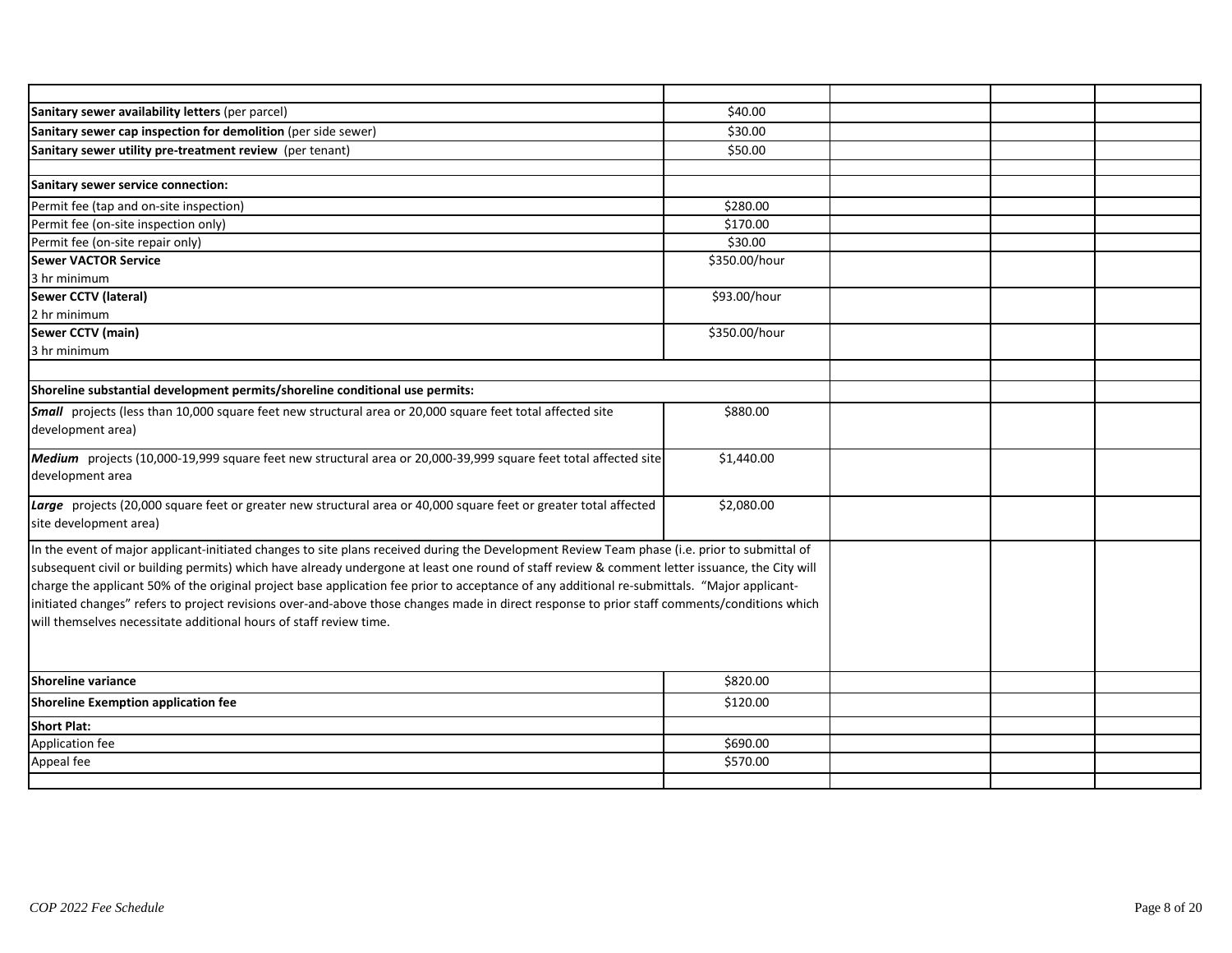| Sanitary sewer availability letters (per parcel)                                                                                               | \$40.00       |  |  |
|------------------------------------------------------------------------------------------------------------------------------------------------|---------------|--|--|
| Sanitary sewer cap inspection for demolition (per side sewer)                                                                                  | \$30.00       |  |  |
| Sanitary sewer utility pre-treatment review (per tenant)                                                                                       | \$50.00       |  |  |
|                                                                                                                                                |               |  |  |
| Sanitary sewer service connection:                                                                                                             |               |  |  |
| Permit fee (tap and on-site inspection)                                                                                                        | \$280.00      |  |  |
| Permit fee (on-site inspection only)                                                                                                           | \$170.00      |  |  |
| Permit fee (on-site repair only)                                                                                                               | \$30.00       |  |  |
| <b>Sewer VACTOR Service</b>                                                                                                                    | \$350.00/hour |  |  |
| 3 hr minimum                                                                                                                                   |               |  |  |
| Sewer CCTV (lateral)                                                                                                                           | \$93.00/hour  |  |  |
| 2 hr minimum                                                                                                                                   |               |  |  |
| Sewer CCTV (main)                                                                                                                              | \$350.00/hour |  |  |
| 3 hr minimum                                                                                                                                   |               |  |  |
|                                                                                                                                                |               |  |  |
| Shoreline substantial development permits/shoreline conditional use permits:                                                                   |               |  |  |
| Small projects (less than 10,000 square feet new structural area or 20,000 square feet total affected site                                     | \$880.00      |  |  |
| development area)                                                                                                                              |               |  |  |
|                                                                                                                                                |               |  |  |
| Medium projects (10,000-19,999 square feet new structural area or 20,000-39,999 square feet total affected site                                | \$1,440.00    |  |  |
| development area                                                                                                                               |               |  |  |
| Large projects (20,000 square feet or greater new structural area or 40,000 square feet or greater total affected                              | \$2,080.00    |  |  |
| site development area)                                                                                                                         |               |  |  |
|                                                                                                                                                |               |  |  |
| In the event of major applicant-initiated changes to site plans received during the Development Review Team phase (i.e. prior to submittal of  |               |  |  |
| subsequent civil or building permits) which have already undergone at least one round of staff review & comment letter issuance, the City will |               |  |  |
| charge the applicant 50% of the original project base application fee prior to acceptance of any additional re-submittals. "Major applicant-   |               |  |  |
| initiated changes" refers to project revisions over-and-above those changes made in direct response to prior staff comments/conditions which   |               |  |  |
| will themselves necessitate additional hours of staff review time.                                                                             |               |  |  |
|                                                                                                                                                |               |  |  |
|                                                                                                                                                |               |  |  |
| <b>Shoreline variance</b>                                                                                                                      | \$820.00      |  |  |
| Shoreline Exemption application fee                                                                                                            | \$120.00      |  |  |
| <b>Short Plat:</b>                                                                                                                             |               |  |  |
| Application fee                                                                                                                                | \$690.00      |  |  |
| Appeal fee                                                                                                                                     | \$570.00      |  |  |
|                                                                                                                                                |               |  |  |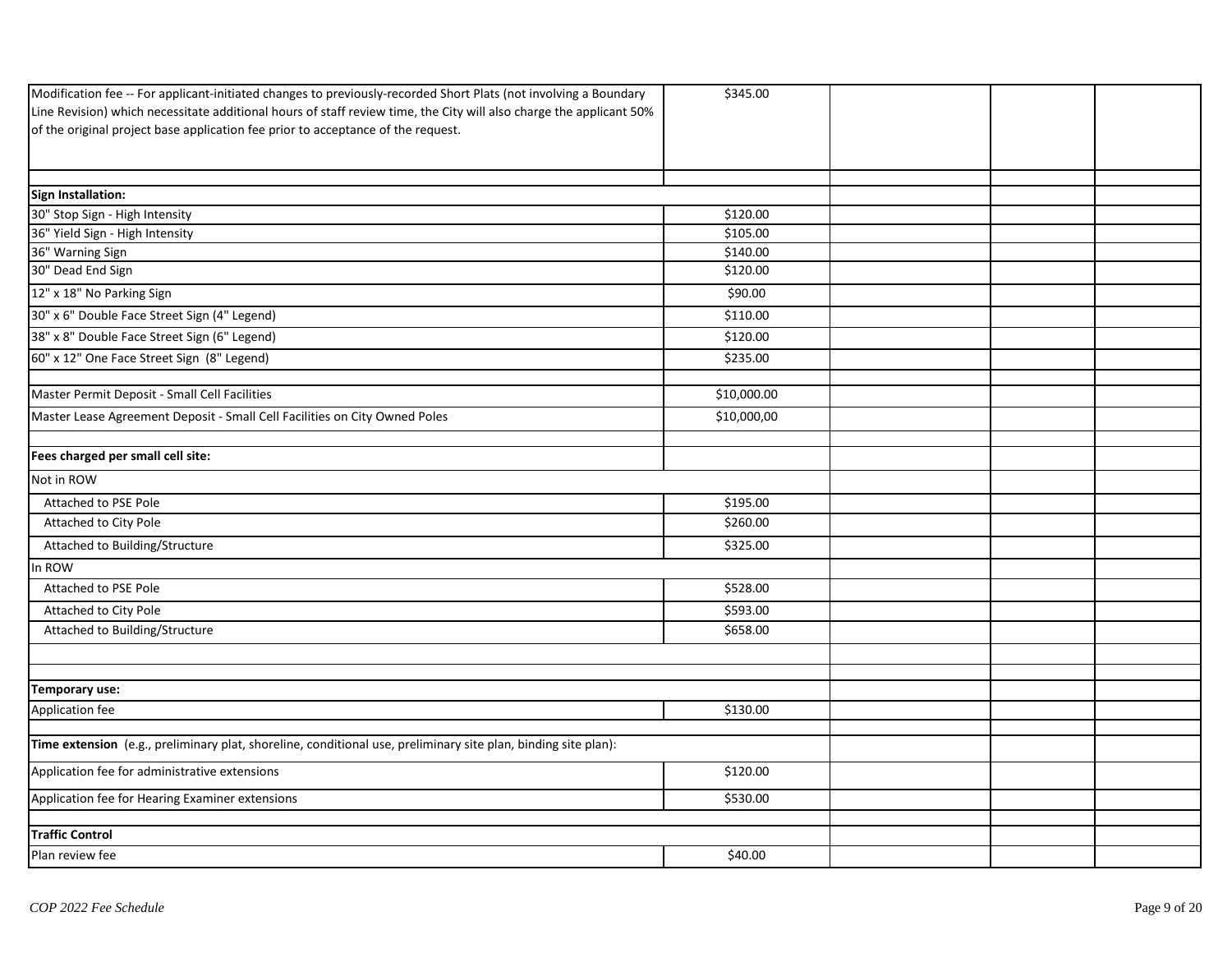| Line Revision) which necessitate additional hours of staff review time, the City will also charge the applicant 50%<br>Sign Installation:<br>30" Stop Sign - High Intensity<br>\$120.00<br>36" Yield Sign - High Intensity<br>\$105.00<br>36" Warning Sign<br>\$140.00<br>30" Dead End Sign<br>\$120.00<br>12" x 18" No Parking Sign<br>\$90.00<br>30" x 6" Double Face Street Sign (4" Legend)<br>\$110.00<br>38" x 8" Double Face Street Sign (6" Legend)<br>\$120.00<br>60" x 12" One Face Street Sign (8" Legend)<br>\$235.00<br>Master Permit Deposit - Small Cell Facilities<br>\$10,000.00<br>Master Lease Agreement Deposit - Small Cell Facilities on City Owned Poles<br>\$10,000,00<br>Fees charged per small cell site:<br>Not in ROW<br>\$195.00<br>Attached to PSE Pole<br>\$260.00<br>Attached to City Pole<br>Attached to Building/Structure<br>\$325.00<br>In ROW<br>Attached to PSE Pole<br>\$528.00<br>\$593.00<br>Attached to City Pole<br>Attached to Building/Structure<br>\$658.00<br>Temporary use:<br>Application fee<br>\$130.00<br>Time extension (e.g., preliminary plat, shoreline, conditional use, preliminary site plan, binding site plan):<br>\$120.00<br>Application fee for administrative extensions<br>Application fee for Hearing Examiner extensions<br>\$530.00<br><b>Traffic Control</b><br>Plan review fee<br>\$40.00 | Modification fee -- For applicant-initiated changes to previously-recorded Short Plats (not involving a Boundary | \$345.00 |  |  |
|------------------------------------------------------------------------------------------------------------------------------------------------------------------------------------------------------------------------------------------------------------------------------------------------------------------------------------------------------------------------------------------------------------------------------------------------------------------------------------------------------------------------------------------------------------------------------------------------------------------------------------------------------------------------------------------------------------------------------------------------------------------------------------------------------------------------------------------------------------------------------------------------------------------------------------------------------------------------------------------------------------------------------------------------------------------------------------------------------------------------------------------------------------------------------------------------------------------------------------------------------------------------------------------------------------------------------------------------------------------|------------------------------------------------------------------------------------------------------------------|----------|--|--|
|                                                                                                                                                                                                                                                                                                                                                                                                                                                                                                                                                                                                                                                                                                                                                                                                                                                                                                                                                                                                                                                                                                                                                                                                                                                                                                                                                                  |                                                                                                                  |          |  |  |
|                                                                                                                                                                                                                                                                                                                                                                                                                                                                                                                                                                                                                                                                                                                                                                                                                                                                                                                                                                                                                                                                                                                                                                                                                                                                                                                                                                  | of the original project base application fee prior to acceptance of the request.                                 |          |  |  |
|                                                                                                                                                                                                                                                                                                                                                                                                                                                                                                                                                                                                                                                                                                                                                                                                                                                                                                                                                                                                                                                                                                                                                                                                                                                                                                                                                                  |                                                                                                                  |          |  |  |
|                                                                                                                                                                                                                                                                                                                                                                                                                                                                                                                                                                                                                                                                                                                                                                                                                                                                                                                                                                                                                                                                                                                                                                                                                                                                                                                                                                  |                                                                                                                  |          |  |  |
|                                                                                                                                                                                                                                                                                                                                                                                                                                                                                                                                                                                                                                                                                                                                                                                                                                                                                                                                                                                                                                                                                                                                                                                                                                                                                                                                                                  |                                                                                                                  |          |  |  |
|                                                                                                                                                                                                                                                                                                                                                                                                                                                                                                                                                                                                                                                                                                                                                                                                                                                                                                                                                                                                                                                                                                                                                                                                                                                                                                                                                                  |                                                                                                                  |          |  |  |
|                                                                                                                                                                                                                                                                                                                                                                                                                                                                                                                                                                                                                                                                                                                                                                                                                                                                                                                                                                                                                                                                                                                                                                                                                                                                                                                                                                  |                                                                                                                  |          |  |  |
|                                                                                                                                                                                                                                                                                                                                                                                                                                                                                                                                                                                                                                                                                                                                                                                                                                                                                                                                                                                                                                                                                                                                                                                                                                                                                                                                                                  |                                                                                                                  |          |  |  |
|                                                                                                                                                                                                                                                                                                                                                                                                                                                                                                                                                                                                                                                                                                                                                                                                                                                                                                                                                                                                                                                                                                                                                                                                                                                                                                                                                                  |                                                                                                                  |          |  |  |
|                                                                                                                                                                                                                                                                                                                                                                                                                                                                                                                                                                                                                                                                                                                                                                                                                                                                                                                                                                                                                                                                                                                                                                                                                                                                                                                                                                  |                                                                                                                  |          |  |  |
|                                                                                                                                                                                                                                                                                                                                                                                                                                                                                                                                                                                                                                                                                                                                                                                                                                                                                                                                                                                                                                                                                                                                                                                                                                                                                                                                                                  |                                                                                                                  |          |  |  |
|                                                                                                                                                                                                                                                                                                                                                                                                                                                                                                                                                                                                                                                                                                                                                                                                                                                                                                                                                                                                                                                                                                                                                                                                                                                                                                                                                                  |                                                                                                                  |          |  |  |
|                                                                                                                                                                                                                                                                                                                                                                                                                                                                                                                                                                                                                                                                                                                                                                                                                                                                                                                                                                                                                                                                                                                                                                                                                                                                                                                                                                  |                                                                                                                  |          |  |  |
|                                                                                                                                                                                                                                                                                                                                                                                                                                                                                                                                                                                                                                                                                                                                                                                                                                                                                                                                                                                                                                                                                                                                                                                                                                                                                                                                                                  |                                                                                                                  |          |  |  |
|                                                                                                                                                                                                                                                                                                                                                                                                                                                                                                                                                                                                                                                                                                                                                                                                                                                                                                                                                                                                                                                                                                                                                                                                                                                                                                                                                                  |                                                                                                                  |          |  |  |
|                                                                                                                                                                                                                                                                                                                                                                                                                                                                                                                                                                                                                                                                                                                                                                                                                                                                                                                                                                                                                                                                                                                                                                                                                                                                                                                                                                  |                                                                                                                  |          |  |  |
|                                                                                                                                                                                                                                                                                                                                                                                                                                                                                                                                                                                                                                                                                                                                                                                                                                                                                                                                                                                                                                                                                                                                                                                                                                                                                                                                                                  |                                                                                                                  |          |  |  |
|                                                                                                                                                                                                                                                                                                                                                                                                                                                                                                                                                                                                                                                                                                                                                                                                                                                                                                                                                                                                                                                                                                                                                                                                                                                                                                                                                                  |                                                                                                                  |          |  |  |
|                                                                                                                                                                                                                                                                                                                                                                                                                                                                                                                                                                                                                                                                                                                                                                                                                                                                                                                                                                                                                                                                                                                                                                                                                                                                                                                                                                  |                                                                                                                  |          |  |  |
|                                                                                                                                                                                                                                                                                                                                                                                                                                                                                                                                                                                                                                                                                                                                                                                                                                                                                                                                                                                                                                                                                                                                                                                                                                                                                                                                                                  |                                                                                                                  |          |  |  |
|                                                                                                                                                                                                                                                                                                                                                                                                                                                                                                                                                                                                                                                                                                                                                                                                                                                                                                                                                                                                                                                                                                                                                                                                                                                                                                                                                                  |                                                                                                                  |          |  |  |
|                                                                                                                                                                                                                                                                                                                                                                                                                                                                                                                                                                                                                                                                                                                                                                                                                                                                                                                                                                                                                                                                                                                                                                                                                                                                                                                                                                  |                                                                                                                  |          |  |  |
|                                                                                                                                                                                                                                                                                                                                                                                                                                                                                                                                                                                                                                                                                                                                                                                                                                                                                                                                                                                                                                                                                                                                                                                                                                                                                                                                                                  |                                                                                                                  |          |  |  |
|                                                                                                                                                                                                                                                                                                                                                                                                                                                                                                                                                                                                                                                                                                                                                                                                                                                                                                                                                                                                                                                                                                                                                                                                                                                                                                                                                                  |                                                                                                                  |          |  |  |
|                                                                                                                                                                                                                                                                                                                                                                                                                                                                                                                                                                                                                                                                                                                                                                                                                                                                                                                                                                                                                                                                                                                                                                                                                                                                                                                                                                  |                                                                                                                  |          |  |  |
|                                                                                                                                                                                                                                                                                                                                                                                                                                                                                                                                                                                                                                                                                                                                                                                                                                                                                                                                                                                                                                                                                                                                                                                                                                                                                                                                                                  |                                                                                                                  |          |  |  |
|                                                                                                                                                                                                                                                                                                                                                                                                                                                                                                                                                                                                                                                                                                                                                                                                                                                                                                                                                                                                                                                                                                                                                                                                                                                                                                                                                                  |                                                                                                                  |          |  |  |
|                                                                                                                                                                                                                                                                                                                                                                                                                                                                                                                                                                                                                                                                                                                                                                                                                                                                                                                                                                                                                                                                                                                                                                                                                                                                                                                                                                  |                                                                                                                  |          |  |  |
|                                                                                                                                                                                                                                                                                                                                                                                                                                                                                                                                                                                                                                                                                                                                                                                                                                                                                                                                                                                                                                                                                                                                                                                                                                                                                                                                                                  |                                                                                                                  |          |  |  |
|                                                                                                                                                                                                                                                                                                                                                                                                                                                                                                                                                                                                                                                                                                                                                                                                                                                                                                                                                                                                                                                                                                                                                                                                                                                                                                                                                                  |                                                                                                                  |          |  |  |
|                                                                                                                                                                                                                                                                                                                                                                                                                                                                                                                                                                                                                                                                                                                                                                                                                                                                                                                                                                                                                                                                                                                                                                                                                                                                                                                                                                  |                                                                                                                  |          |  |  |
|                                                                                                                                                                                                                                                                                                                                                                                                                                                                                                                                                                                                                                                                                                                                                                                                                                                                                                                                                                                                                                                                                                                                                                                                                                                                                                                                                                  |                                                                                                                  |          |  |  |
|                                                                                                                                                                                                                                                                                                                                                                                                                                                                                                                                                                                                                                                                                                                                                                                                                                                                                                                                                                                                                                                                                                                                                                                                                                                                                                                                                                  |                                                                                                                  |          |  |  |
|                                                                                                                                                                                                                                                                                                                                                                                                                                                                                                                                                                                                                                                                                                                                                                                                                                                                                                                                                                                                                                                                                                                                                                                                                                                                                                                                                                  |                                                                                                                  |          |  |  |
|                                                                                                                                                                                                                                                                                                                                                                                                                                                                                                                                                                                                                                                                                                                                                                                                                                                                                                                                                                                                                                                                                                                                                                                                                                                                                                                                                                  |                                                                                                                  |          |  |  |
|                                                                                                                                                                                                                                                                                                                                                                                                                                                                                                                                                                                                                                                                                                                                                                                                                                                                                                                                                                                                                                                                                                                                                                                                                                                                                                                                                                  |                                                                                                                  |          |  |  |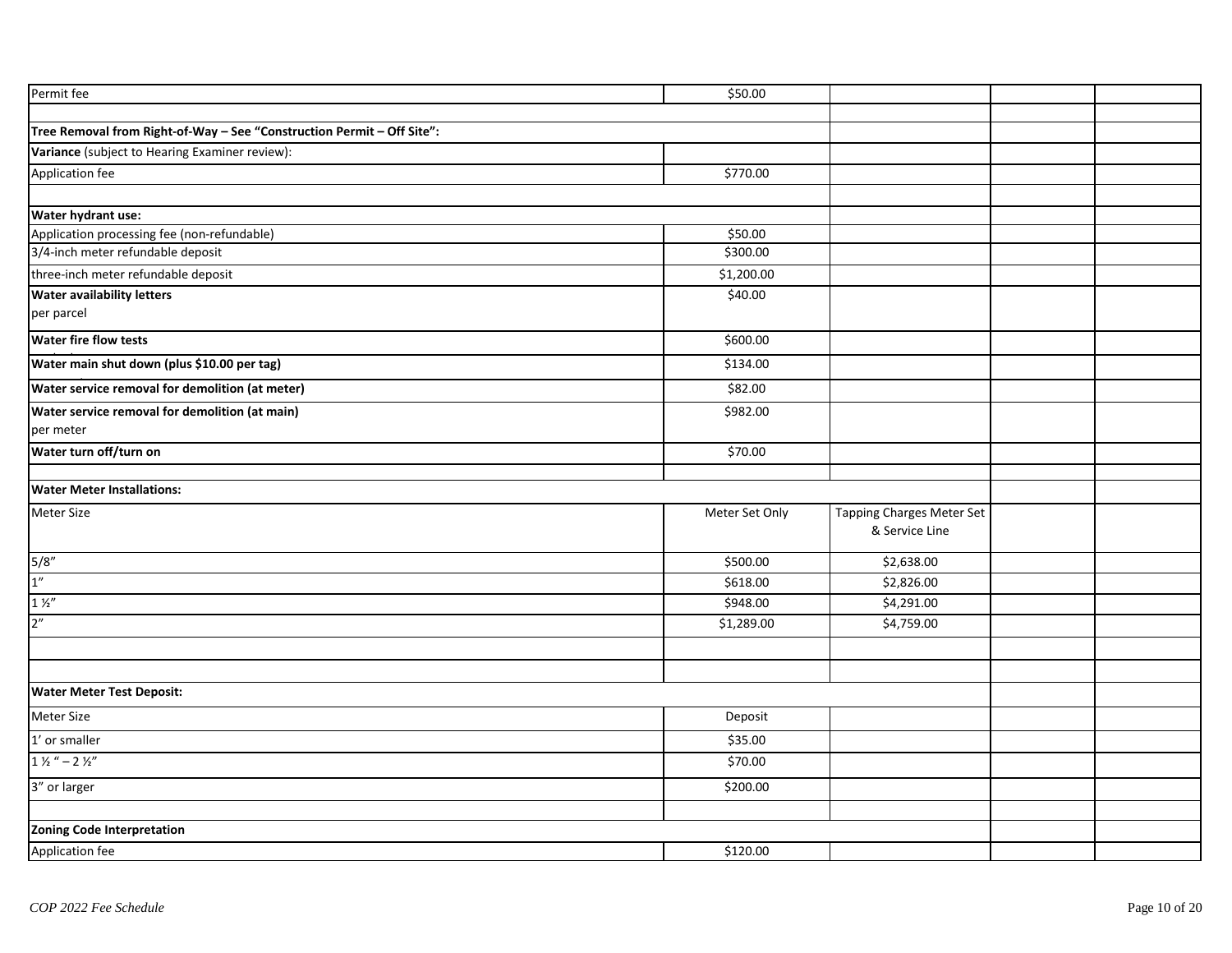| \$50.00    |                |                                             |  |
|------------|----------------|---------------------------------------------|--|
|            |                |                                             |  |
|            |                |                                             |  |
|            |                |                                             |  |
| \$770.00   |                |                                             |  |
|            |                |                                             |  |
|            |                |                                             |  |
| \$50.00    |                |                                             |  |
| \$300.00   |                |                                             |  |
| \$1,200.00 |                |                                             |  |
| \$40.00    |                |                                             |  |
|            |                |                                             |  |
| \$600.00   |                |                                             |  |
| \$134.00   |                |                                             |  |
| \$82.00    |                |                                             |  |
| \$982.00   |                |                                             |  |
|            |                |                                             |  |
| \$70.00    |                |                                             |  |
|            |                |                                             |  |
|            |                |                                             |  |
|            |                |                                             |  |
|            |                |                                             |  |
| \$500.00   | \$2,638.00     |                                             |  |
| 5618.00    | \$2,826.00     |                                             |  |
| \$948.00   | \$4,291.00     |                                             |  |
| \$1,289.00 | \$4,759.00     |                                             |  |
|            |                |                                             |  |
|            |                |                                             |  |
|            |                |                                             |  |
| Deposit    |                |                                             |  |
| \$35.00    |                |                                             |  |
| \$70.00    |                |                                             |  |
| \$200.00   |                |                                             |  |
|            |                |                                             |  |
|            |                |                                             |  |
| \$120.00   |                |                                             |  |
|            | Meter Set Only | Tapping Charges Meter Set<br>& Service Line |  |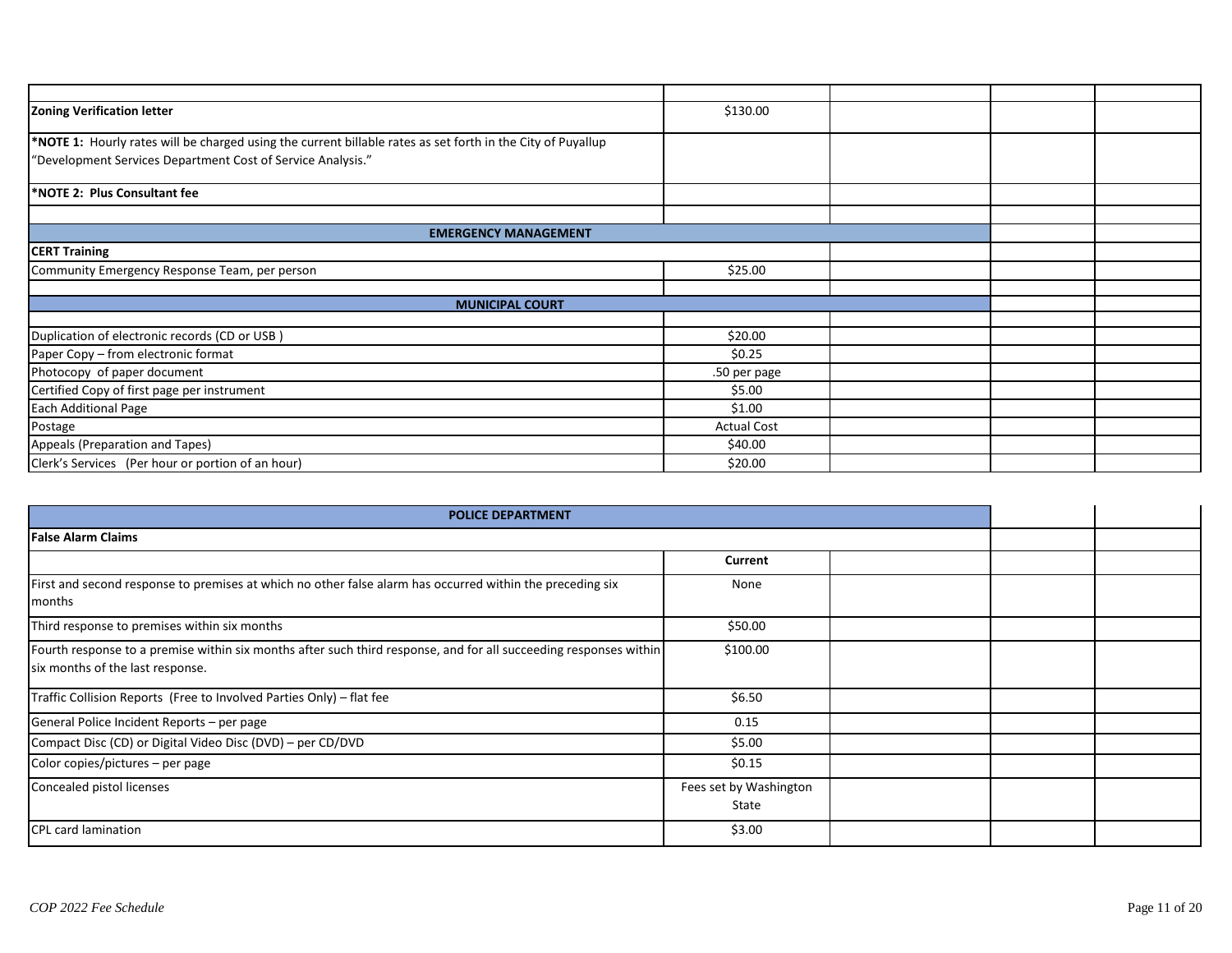| Zoning Verification letter                                                                                  | \$130.00           |  |  |
|-------------------------------------------------------------------------------------------------------------|--------------------|--|--|
| *NOTE 1: Hourly rates will be charged using the current billable rates as set forth in the City of Puyallup |                    |  |  |
| "Development Services Department Cost of Service Analysis."                                                 |                    |  |  |
| *NOTE 2: Plus Consultant fee                                                                                |                    |  |  |
|                                                                                                             |                    |  |  |
| <b>EMERGENCY MANAGEMENT</b>                                                                                 |                    |  |  |
| <b>CERT Training</b>                                                                                        |                    |  |  |
| Community Emergency Response Team, per person                                                               | \$25.00            |  |  |
|                                                                                                             |                    |  |  |
| <b>MUNICIPAL COURT</b>                                                                                      |                    |  |  |
|                                                                                                             |                    |  |  |
| Duplication of electronic records (CD or USB)                                                               | \$20.00            |  |  |
| Paper Copy - from electronic format                                                                         | \$0.25             |  |  |
| Photocopy of paper document                                                                                 | .50 per page       |  |  |
| Certified Copy of first page per instrument                                                                 | \$5.00             |  |  |
| <b>Each Additional Page</b>                                                                                 | \$1.00             |  |  |
| Postage                                                                                                     | <b>Actual Cost</b> |  |  |
| Appeals (Preparation and Tapes)                                                                             | \$40.00            |  |  |
| Clerk's Services (Per hour or portion of an hour)                                                           | \$20.00            |  |  |

| <b>POLICE DEPARTMENT</b>                                                                                                                              |                                 |  |  |  |
|-------------------------------------------------------------------------------------------------------------------------------------------------------|---------------------------------|--|--|--|
| <b>False Alarm Claims</b>                                                                                                                             |                                 |  |  |  |
|                                                                                                                                                       | Current                         |  |  |  |
| First and second response to premises at which no other false alarm has occurred within the preceding six<br>months                                   | None                            |  |  |  |
| Third response to premises within six months                                                                                                          | \$50.00                         |  |  |  |
| Fourth response to a premise within six months after such third response, and for all succeeding responses within<br>six months of the last response. | \$100.00                        |  |  |  |
| Traffic Collision Reports (Free to Involved Parties Only) - flat fee                                                                                  | \$6.50                          |  |  |  |
| General Police Incident Reports - per page                                                                                                            | 0.15                            |  |  |  |
| Compact Disc (CD) or Digital Video Disc (DVD) - per CD/DVD                                                                                            | \$5.00                          |  |  |  |
| Color copies/pictures - per page                                                                                                                      | \$0.15                          |  |  |  |
| Concealed pistol licenses                                                                                                                             | Fees set by Washington<br>State |  |  |  |
| <b>CPL card lamination</b>                                                                                                                            | \$3.00                          |  |  |  |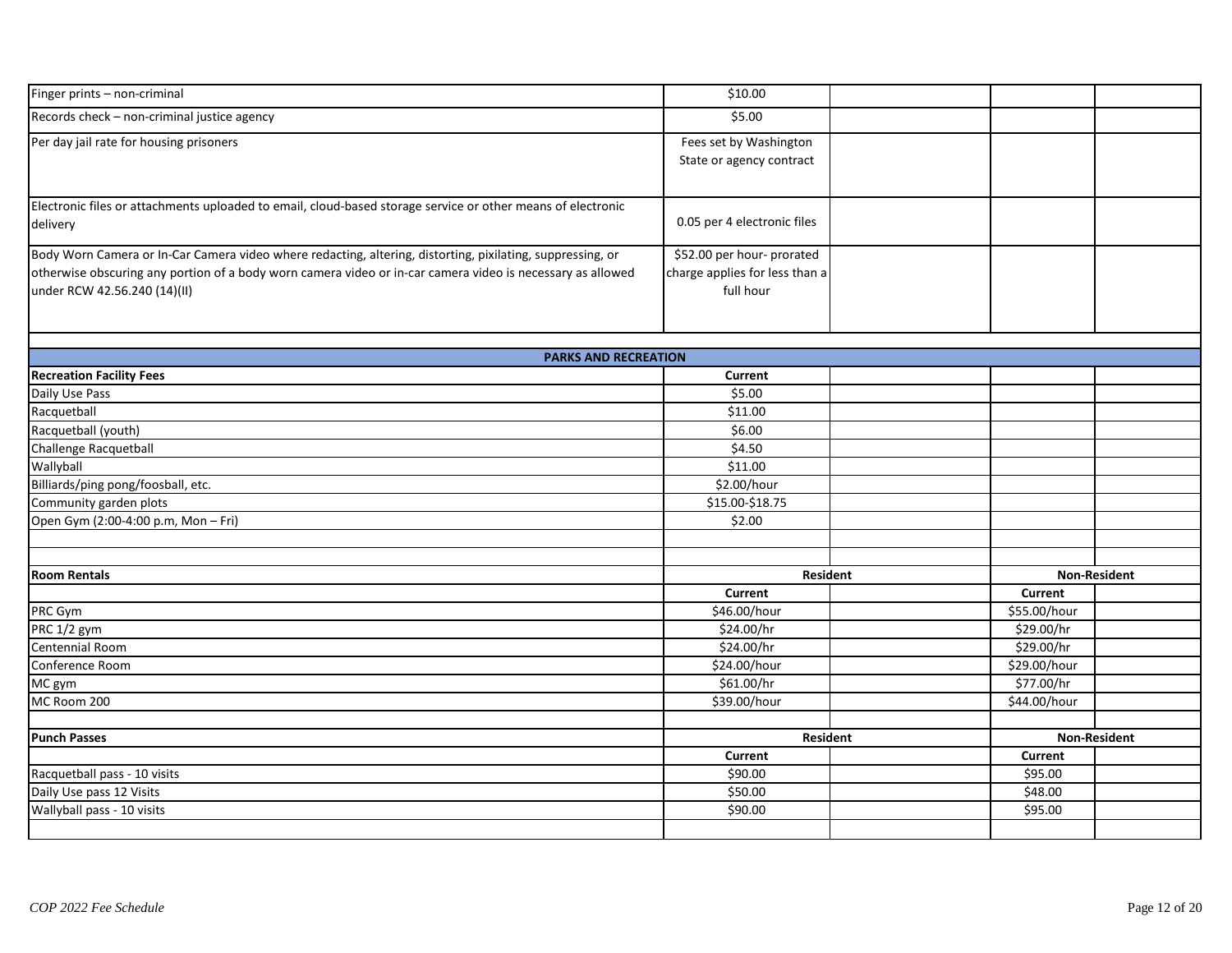| Finger prints - non-criminal                                                                                | \$10.00                        |                |                     |
|-------------------------------------------------------------------------------------------------------------|--------------------------------|----------------|---------------------|
| Records check - non-criminal justice agency                                                                 | \$5.00                         |                |                     |
| Per day jail rate for housing prisoners                                                                     | Fees set by Washington         |                |                     |
|                                                                                                             | State or agency contract       |                |                     |
|                                                                                                             |                                |                |                     |
| Electronic files or attachments uploaded to email, cloud-based storage service or other means of electronic |                                |                |                     |
| delivery                                                                                                    | 0.05 per 4 electronic files    |                |                     |
| Body Worn Camera or In-Car Camera video where redacting, altering, distorting, pixilating, suppressing, or  | \$52.00 per hour- prorated     |                |                     |
| otherwise obscuring any portion of a body worn camera video or in-car camera video is necessary as allowed  | charge applies for less than a |                |                     |
| under RCW 42.56.240 (14)(II)                                                                                | full hour                      |                |                     |
|                                                                                                             |                                |                |                     |
| <b>PARKS AND RECREATION</b>                                                                                 |                                |                |                     |
| <b>Recreation Facility Fees</b>                                                                             | Current                        |                |                     |
| Daily Use Pass                                                                                              | \$5.00                         |                |                     |
| Racquetball                                                                                                 | \$11.00                        |                |                     |
| Racquetball (youth)                                                                                         | \$6.00                         |                |                     |
| Challenge Racquetball                                                                                       | \$4.50                         |                |                     |
| Wallyball                                                                                                   | \$11.00                        |                |                     |
| Billiards/ping pong/foosball, etc.                                                                          | \$2.00/hour                    |                |                     |
| Community garden plots                                                                                      | \$15.00-\$18.75                |                |                     |
| Open Gym (2:00-4:00 p.m, Mon - Fri)                                                                         | \$2.00                         |                |                     |
|                                                                                                             |                                |                |                     |
|                                                                                                             |                                |                |                     |
| <b>Room Rentals</b>                                                                                         | Resident                       |                | <b>Non-Resident</b> |
|                                                                                                             | <b>Current</b>                 | <b>Current</b> |                     |
| PRC Gym                                                                                                     | \$46.00/hour                   | \$55.00/hour   |                     |
| PRC 1/2 gym                                                                                                 | \$24.00/hr                     | \$29.00/hr     |                     |
| Centennial Room                                                                                             | \$24.00/hr                     | \$29.00/hr     |                     |
| Conference Room                                                                                             | \$24.00/hour                   | \$29.00/hour   |                     |
| MC gym                                                                                                      | \$61.00/hr                     | \$77.00/hr     |                     |
| MC Room 200                                                                                                 | \$39.00/hour                   | \$44.00/hour   |                     |
|                                                                                                             |                                |                |                     |
| <b>Punch Passes</b>                                                                                         | Resident                       |                | <b>Non-Resident</b> |
|                                                                                                             | Current                        | <b>Current</b> |                     |
| Racquetball pass - 10 visits                                                                                | \$90.00                        | \$95.00        |                     |
| Daily Use pass 12 Visits                                                                                    | \$50.00                        | \$48.00        |                     |
| Wallyball pass - 10 visits                                                                                  | \$90.00                        | \$95.00        |                     |
|                                                                                                             |                                |                |                     |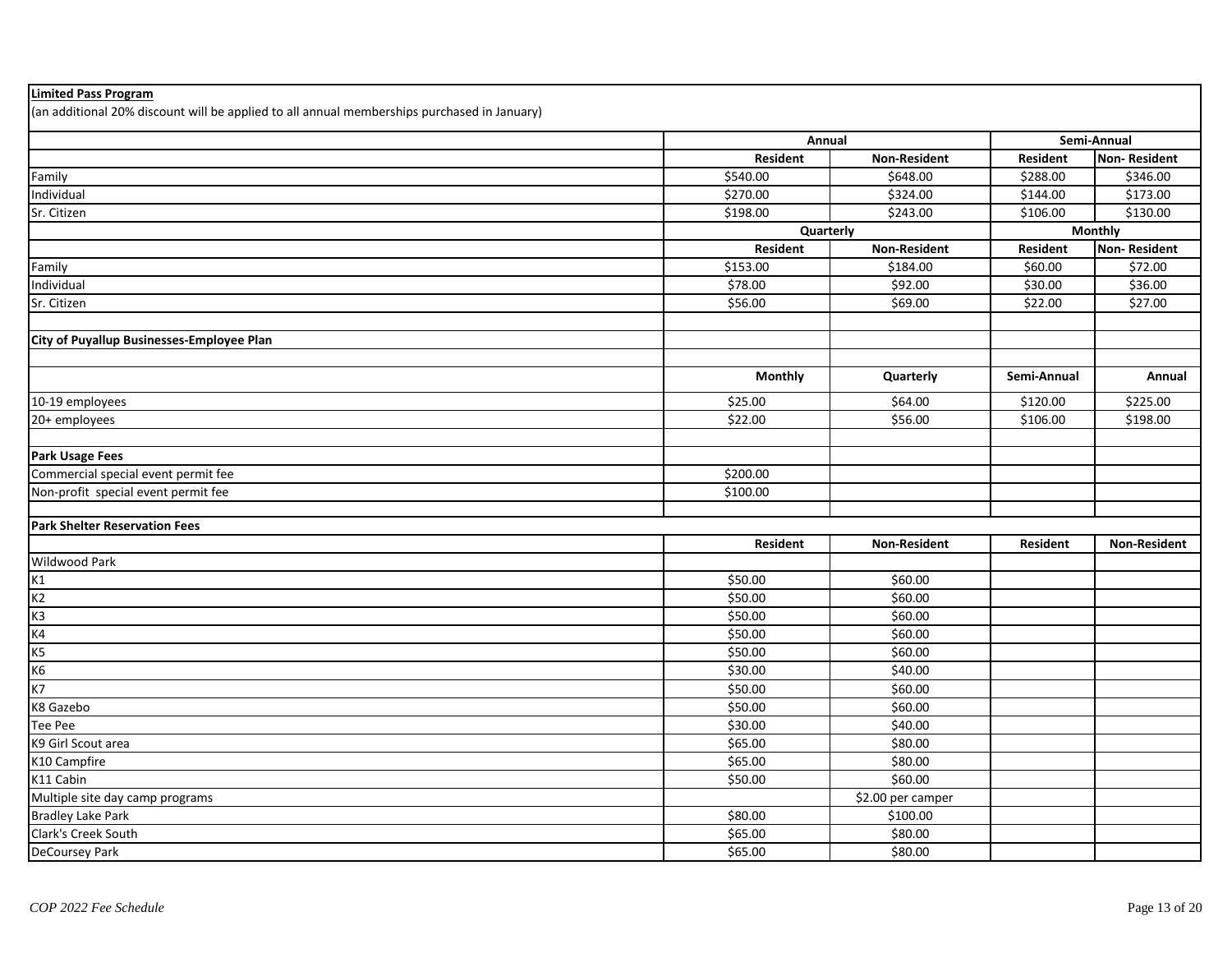| <b>Limited Pass Program</b>                                                                 |                 |                      |                 |                     |
|---------------------------------------------------------------------------------------------|-----------------|----------------------|-----------------|---------------------|
| (an additional 20% discount will be applied to all annual memberships purchased in January) |                 |                      |                 |                     |
|                                                                                             | Annual          |                      | Semi-Annual     |                     |
|                                                                                             | <b>Resident</b> | <b>Non-Resident</b>  | <b>Resident</b> | <b>Non-Resident</b> |
| Family                                                                                      | \$540.00        | \$648.00             | \$288.00        | \$346.00            |
| Individual                                                                                  | \$270.00        | \$324.00             | \$144.00        | \$173.00            |
| Sr. Citizen                                                                                 | \$198.00        | $\overline{$}243.00$ | \$106.00        | \$130.00            |
|                                                                                             |                 | Quarterly            |                 | <b>Monthly</b>      |
|                                                                                             | <b>Resident</b> | <b>Non-Resident</b>  | <b>Resident</b> | <b>Non-Resident</b> |
| Family                                                                                      | \$153.00        | \$184.00             | \$60.00         | \$72.00             |
| Individual                                                                                  | \$78.00         | \$92.00              | \$30.00         | \$36.00             |
| Sr. Citizen                                                                                 | \$56.00         | \$69.00              | \$22.00         | \$27.00             |
|                                                                                             |                 |                      |                 |                     |
| City of Puyallup Businesses-Employee Plan                                                   |                 |                      |                 |                     |
|                                                                                             |                 |                      |                 |                     |
|                                                                                             | <b>Monthly</b>  | Quarterly            | Semi-Annual     | Annual              |
| 10-19 employees                                                                             | \$25.00         | \$64.00              | \$120.00        | \$225.00            |
| 20+ employees                                                                               | \$22.00         | \$56.00              | \$106.00        | \$198.00            |
|                                                                                             |                 |                      |                 |                     |
| <b>Park Usage Fees</b>                                                                      |                 |                      |                 |                     |
| Commercial special event permit fee                                                         | \$200.00        |                      |                 |                     |
| Non-profit special event permit fee                                                         | \$100.00        |                      |                 |                     |
|                                                                                             |                 |                      |                 |                     |
| <b>Park Shelter Reservation Fees</b>                                                        |                 |                      |                 |                     |
|                                                                                             | <b>Resident</b> | <b>Non-Resident</b>  | Resident        | <b>Non-Resident</b> |
| Wildwood Park                                                                               |                 |                      |                 |                     |
| K1                                                                                          | \$50.00         | \$60.00              |                 |                     |
| K2                                                                                          | \$50.00         | \$60.00              |                 |                     |
| K <sub>3</sub>                                                                              | \$50.00         | \$60.00              |                 |                     |
| K4                                                                                          | \$50.00         | \$60.00              |                 |                     |
| K5                                                                                          | \$50.00         | \$60.00              |                 |                     |
| K6                                                                                          | \$30.00         | \$40.00              |                 |                     |
| K7                                                                                          | \$50.00         | \$60.00              |                 |                     |
| K8 Gazebo                                                                                   | \$50.00         | \$60.00              |                 |                     |
| Tee Pee                                                                                     | \$30.00         | \$40.00              |                 |                     |
| K9 Girl Scout area                                                                          | \$65.00         | \$80.00              |                 |                     |
| K10 Campfire                                                                                | \$65.00         | \$80.00              |                 |                     |
| K11 Cabin                                                                                   | \$50.00         | \$60.00              |                 |                     |
| Multiple site day camp programs                                                             |                 | \$2.00 per camper    |                 |                     |
| <b>Bradley Lake Park</b>                                                                    | \$80.00         | \$100.00             |                 |                     |
| Clark's Creek South                                                                         | \$65.00         | \$80.00              |                 |                     |
| <b>DeCoursey Park</b>                                                                       | \$65.00         | \$80.00              |                 |                     |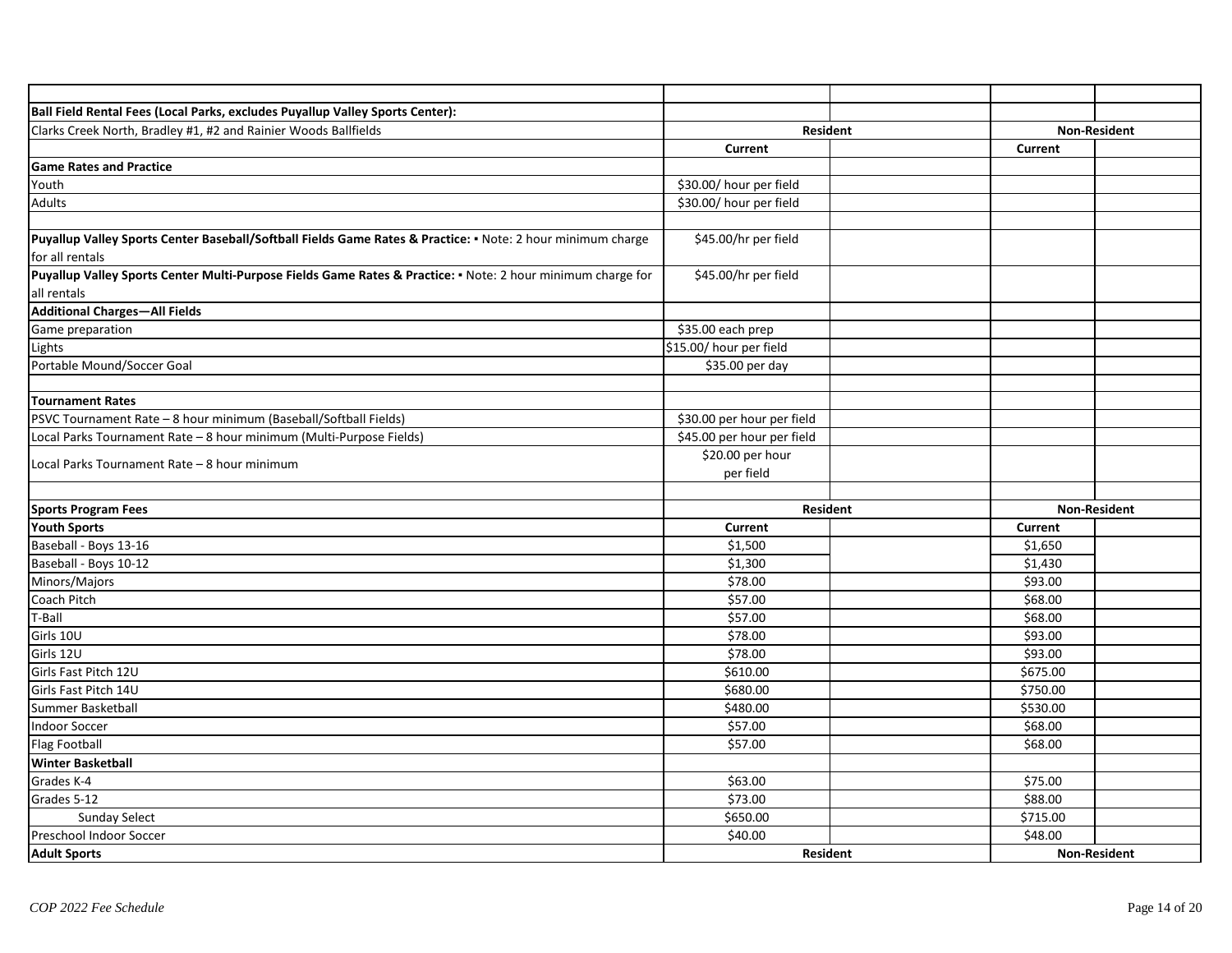| Ball Field Rental Fees (Local Parks, excludes Puyallup Valley Sports Center):                               |                            |  |                     |                     |
|-------------------------------------------------------------------------------------------------------------|----------------------------|--|---------------------|---------------------|
| Clarks Creek North, Bradley #1, #2 and Rainier Woods Ballfields                                             | Resident                   |  | <b>Non-Resident</b> |                     |
|                                                                                                             | Current                    |  | <b>Current</b>      |                     |
| <b>Game Rates and Practice</b>                                                                              |                            |  |                     |                     |
| Youth                                                                                                       | \$30.00/ hour per field    |  |                     |                     |
| <b>Adults</b>                                                                                               | \$30.00/ hour per field    |  |                     |                     |
|                                                                                                             |                            |  |                     |                     |
| Puyallup Valley Sports Center Baseball/Softball Fields Game Rates & Practice: . Note: 2 hour minimum charge | \$45.00/hr per field       |  |                     |                     |
| for all rentals                                                                                             |                            |  |                     |                     |
| Puyallup Valley Sports Center Multi-Purpose Fields Game Rates & Practice: • Note: 2 hour minimum charge for | \$45.00/hr per field       |  |                     |                     |
| all rentals                                                                                                 |                            |  |                     |                     |
| <b>Additional Charges-All Fields</b>                                                                        |                            |  |                     |                     |
| Game preparation                                                                                            | \$35.00 each prep          |  |                     |                     |
| Lights                                                                                                      | \$15.00/ hour per field    |  |                     |                     |
| Portable Mound/Soccer Goal                                                                                  | \$35.00 per day            |  |                     |                     |
|                                                                                                             |                            |  |                     |                     |
| <b>Tournament Rates</b>                                                                                     |                            |  |                     |                     |
| PSVC Tournament Rate - 8 hour minimum (Baseball/Softball Fields)                                            | \$30.00 per hour per field |  |                     |                     |
| Local Parks Tournament Rate - 8 hour minimum (Multi-Purpose Fields)                                         | \$45.00 per hour per field |  |                     |                     |
| Local Parks Tournament Rate - 8 hour minimum                                                                | \$20.00 per hour           |  |                     |                     |
|                                                                                                             | per field                  |  |                     |                     |
|                                                                                                             |                            |  |                     |                     |
| <b>Sports Program Fees</b>                                                                                  | <b>Resident</b>            |  |                     | <b>Non-Resident</b> |
| <b>Youth Sports</b>                                                                                         | <b>Current</b>             |  | Current             |                     |
| Baseball - Boys 13-16                                                                                       | \$1,500                    |  | \$1,650             |                     |
| Baseball - Boys 10-12                                                                                       | \$1,300                    |  | \$1,430             |                     |
| Minors/Majors                                                                                               | \$78.00                    |  | \$93.00             |                     |
| Coach Pitch                                                                                                 | \$57.00                    |  | \$68.00             |                     |
| T-Ball                                                                                                      | $\overline{$}57.00$        |  | \$68.00             |                     |
| Girls 10U                                                                                                   | \$78.00                    |  | \$93.00             |                     |
| Girls 12U                                                                                                   | \$78.00                    |  | \$93.00             |                     |
| Girls Fast Pitch 12U                                                                                        | \$610.00                   |  | \$675.00            |                     |
| Girls Fast Pitch 14U                                                                                        | \$680.00                   |  | \$750.00            |                     |
| Summer Basketball                                                                                           | \$480.00                   |  | \$530.00            |                     |
| <b>Indoor Soccer</b>                                                                                        | \$57.00                    |  | \$68.00             |                     |
| <b>Flag Football</b>                                                                                        | \$57.00                    |  | \$68.00             |                     |
| <b>Winter Basketball</b>                                                                                    |                            |  |                     |                     |
| Grades K-4                                                                                                  | \$63.00                    |  | \$75.00             |                     |
| Grades 5-12                                                                                                 | \$73.00                    |  | \$88.00             |                     |
| <b>Sunday Select</b>                                                                                        | \$650.00                   |  | \$715.00            |                     |
| Preschool Indoor Soccer                                                                                     | \$40.00                    |  | \$48.00             |                     |
| <b>Adult Sports</b>                                                                                         | <b>Resident</b>            |  |                     | <b>Non-Resident</b> |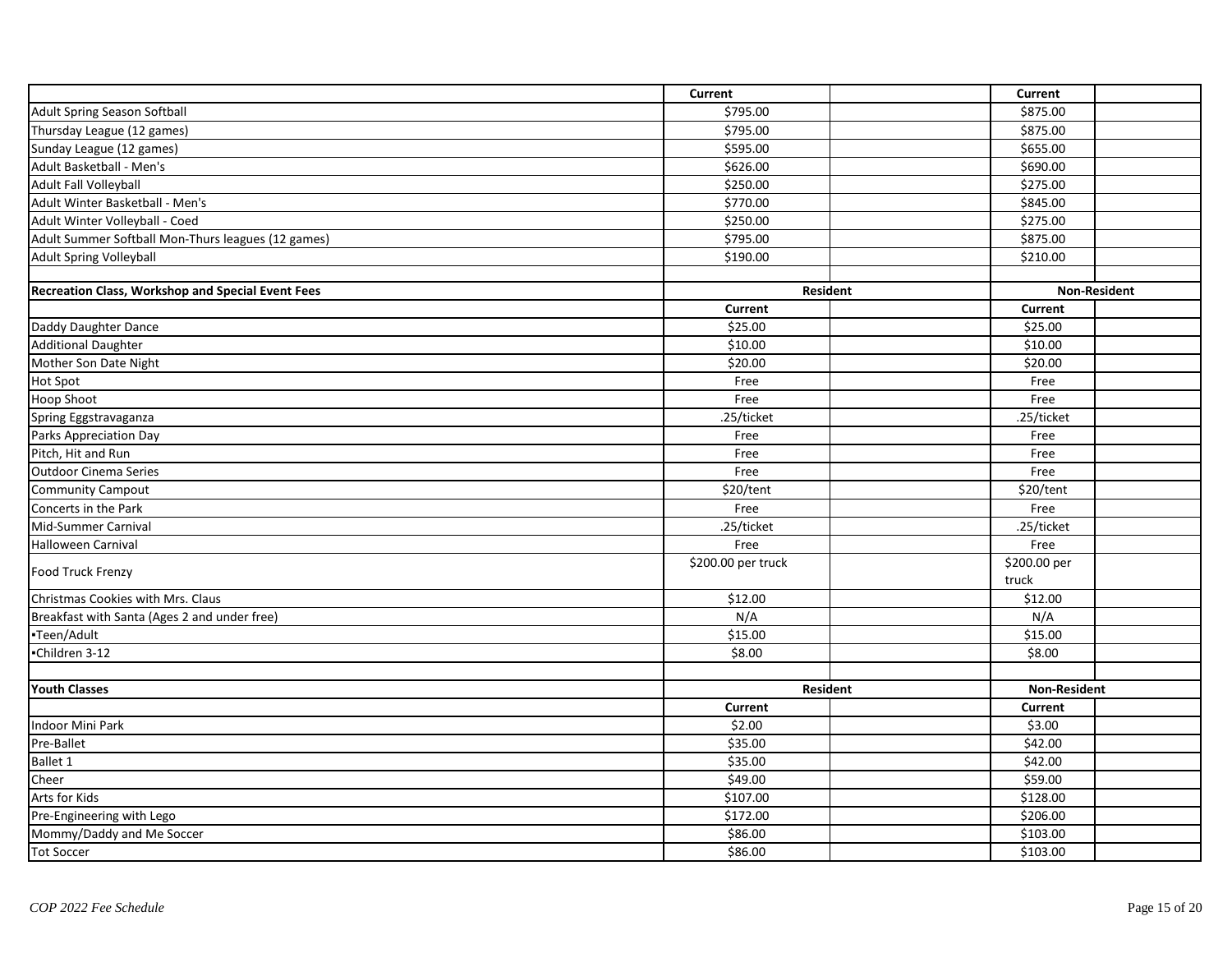|                                                    | <b>Current</b>      |                 | Current             |                     |
|----------------------------------------------------|---------------------|-----------------|---------------------|---------------------|
| Adult Spring Season Softball                       | \$795.00            |                 | \$875.00            |                     |
| Thursday League (12 games)                         | \$795.00            |                 | \$875.00            |                     |
| Sunday League (12 games)                           | \$595.00            |                 | \$655.00            |                     |
| Adult Basketball - Men's                           | \$626.00            |                 | \$690.00            |                     |
| Adult Fall Volleyball                              | \$250.00            |                 | \$275.00            |                     |
| Adult Winter Basketball - Men's                    | \$770.00            |                 | \$845.00            |                     |
| Adult Winter Volleyball - Coed                     | \$250.00            |                 | \$275.00            |                     |
| Adult Summer Softball Mon-Thurs leagues (12 games) | \$795.00            |                 | \$875.00            |                     |
| <b>Adult Spring Volleyball</b>                     | \$190.00            |                 | \$210.00            |                     |
|                                                    |                     |                 |                     |                     |
| Recreation Class, Workshop and Special Event Fees  |                     | <b>Resident</b> |                     | <b>Non-Resident</b> |
|                                                    | <b>Current</b>      |                 | <b>Current</b>      |                     |
| Daddy Daughter Dance                               | \$25.00             |                 | \$25.00             |                     |
| <b>Additional Daughter</b>                         | \$10.00             |                 | \$10.00             |                     |
| Mother Son Date Night                              | \$20.00             |                 | \$20.00             |                     |
| <b>Hot Spot</b>                                    | Free                |                 | Free                |                     |
| <b>Hoop Shoot</b>                                  | Free                |                 | Free                |                     |
| Spring Eggstravaganza                              | .25/ticket          |                 | .25/ticket          |                     |
| Parks Appreciation Day                             | Free                |                 | Free                |                     |
| Pitch, Hit and Run                                 | Free                |                 | Free                |                     |
| <b>Outdoor Cinema Series</b>                       | Free                |                 | Free                |                     |
| <b>Community Campout</b>                           | \$20/tent           |                 | \$20/tent           |                     |
| Concerts in the Park                               | Free                |                 | Free                |                     |
| Mid-Summer Carnival                                | .25/ticket          |                 | .25/ticket          |                     |
| <b>Halloween Carnival</b>                          | Free                |                 | Free                |                     |
| <b>Food Truck Frenzy</b>                           | \$200.00 per truck  |                 | \$200.00 per        |                     |
|                                                    |                     |                 | truck               |                     |
| Christmas Cookies with Mrs. Claus                  | $\overline{$}12.00$ |                 | \$12.00             |                     |
| Breakfast with Santa (Ages 2 and under free)       | N/A                 |                 | N/A                 |                     |
| -Teen/Adult                                        | \$15.00             |                 | \$15.00             |                     |
| -Children 3-12                                     | \$8.00              |                 | \$8.00              |                     |
|                                                    |                     |                 |                     |                     |
| <b>Youth Classes</b>                               |                     | <b>Resident</b> | <b>Non-Resident</b> |                     |
|                                                    | <b>Current</b>      |                 | <b>Current</b>      |                     |
| Indoor Mini Park                                   | \$2.00              |                 | \$3.00              |                     |
| Pre-Ballet                                         | \$35.00             |                 | \$42.00             |                     |
| <b>Ballet 1</b>                                    | \$35.00             |                 | $\overline{$}42.00$ |                     |
| Cheer                                              | \$49.00             |                 | \$59.00             |                     |
| Arts for Kids                                      | \$107.00            |                 | \$128.00            |                     |
| Pre-Engineering with Lego                          | \$172.00            |                 | \$206.00            |                     |
| Mommy/Daddy and Me Soccer                          | \$86.00             |                 | \$103.00            |                     |
| <b>Tot Soccer</b>                                  | \$86.00             |                 | \$103.00            |                     |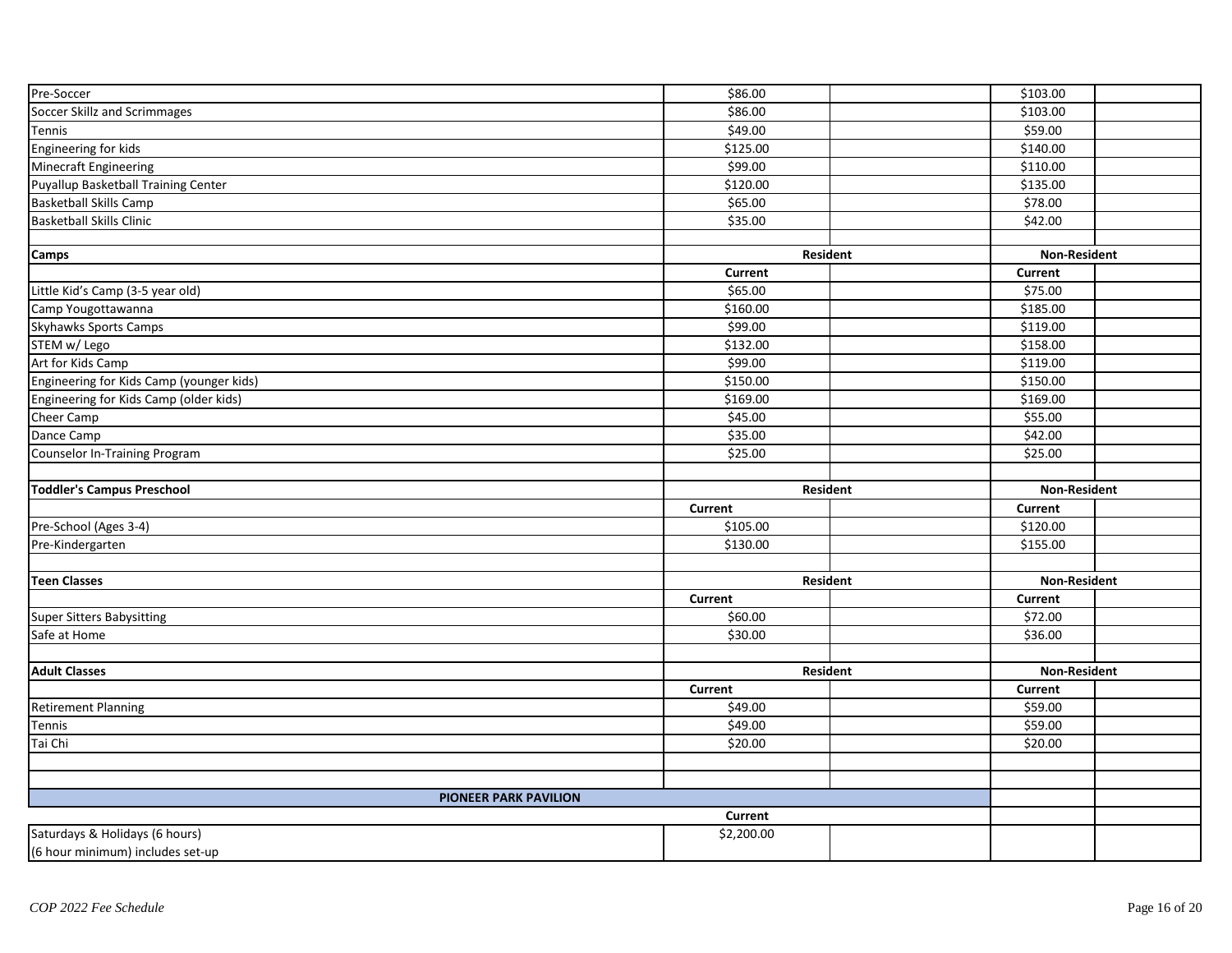| Pre-Soccer                                                         | \$86.00              |                 | \$103.00            |              |  |
|--------------------------------------------------------------------|----------------------|-----------------|---------------------|--------------|--|
| Soccer Skillz and Scrimmages                                       | \$86.00              |                 | \$103.00            |              |  |
| Tennis                                                             | \$49.00              |                 | \$59.00             |              |  |
| Engineering for kids                                               | \$125.00             |                 | \$140.00            |              |  |
| Minecraft Engineering                                              | \$99.00              |                 | \$110.00            |              |  |
| Puyallup Basketball Training Center                                | \$120.00             |                 | \$135.00            |              |  |
| <b>Basketball Skills Camp</b>                                      | \$65.00              |                 | \$78.00             |              |  |
| <b>Basketball Skills Clinic</b>                                    | \$35.00              |                 | \$42.00             |              |  |
|                                                                    |                      |                 |                     |              |  |
| <b>Camps</b>                                                       |                      | Resident        |                     | Non-Resident |  |
|                                                                    | <b>Current</b>       |                 | <b>Current</b>      |              |  |
| Little Kid's Camp (3-5 year old)                                   | \$65.00              |                 | $\overline{$}75.00$ |              |  |
| Camp Yougottawanna                                                 | \$160.00             |                 | \$185.00            |              |  |
| Skyhawks Sports Camps                                              | \$99.00              |                 | \$119.00            |              |  |
| STEM w/ Lego                                                       | $\overline{$}132.00$ |                 | \$158.00            |              |  |
| Art for Kids Camp                                                  | \$99.00              |                 | \$119.00            |              |  |
| Engineering for Kids Camp (younger kids)                           | \$150.00             |                 | \$150.00            |              |  |
| Engineering for Kids Camp (older kids)                             | \$169.00             |                 | \$169.00            |              |  |
| Cheer Camp                                                         | \$45.00              |                 | 555.00              |              |  |
| Dance Camp                                                         | \$35.00              |                 | \$42.00             |              |  |
| Counselor In-Training Program                                      | \$25.00              |                 | \$25.00             |              |  |
|                                                                    |                      |                 |                     |              |  |
| <b>Toddler's Campus Preschool</b>                                  |                      | <b>Resident</b> | <b>Non-Resident</b> |              |  |
|                                                                    | Current              |                 | <b>Current</b>      |              |  |
| Pre-School (Ages 3-4)                                              | \$105.00             |                 | \$120.00            |              |  |
| Pre-Kindergarten                                                   | \$130.00             |                 | \$155.00            |              |  |
|                                                                    |                      |                 |                     |              |  |
| <b>Teen Classes</b>                                                |                      | Resident        | <b>Non-Resident</b> |              |  |
|                                                                    | <b>Current</b>       |                 | Current             |              |  |
| Super Sitters Babysitting                                          | \$60.00              |                 | \$72.00             |              |  |
| Safe at Home                                                       | \$30.00              |                 | \$36.00             |              |  |
|                                                                    |                      |                 |                     |              |  |
| <b>Adult Classes</b>                                               |                      | Resident        | <b>Non-Resident</b> |              |  |
|                                                                    | <b>Current</b>       |                 | <b>Current</b>      |              |  |
| <b>Retirement Planning</b>                                         | \$49.00              |                 | \$59.00             |              |  |
| Tennis                                                             | \$49.00              |                 | \$59.00             |              |  |
| Tai Chi                                                            | \$20.00              |                 | \$20.00             |              |  |
|                                                                    |                      |                 |                     |              |  |
|                                                                    |                      |                 |                     |              |  |
| <b>PIONEER PARK PAVILION</b>                                       |                      |                 |                     |              |  |
|                                                                    | Current              |                 |                     |              |  |
|                                                                    |                      |                 |                     |              |  |
| Saturdays & Holidays (6 hours)<br>(6 hour minimum) includes set-up | \$2,200.00           |                 |                     |              |  |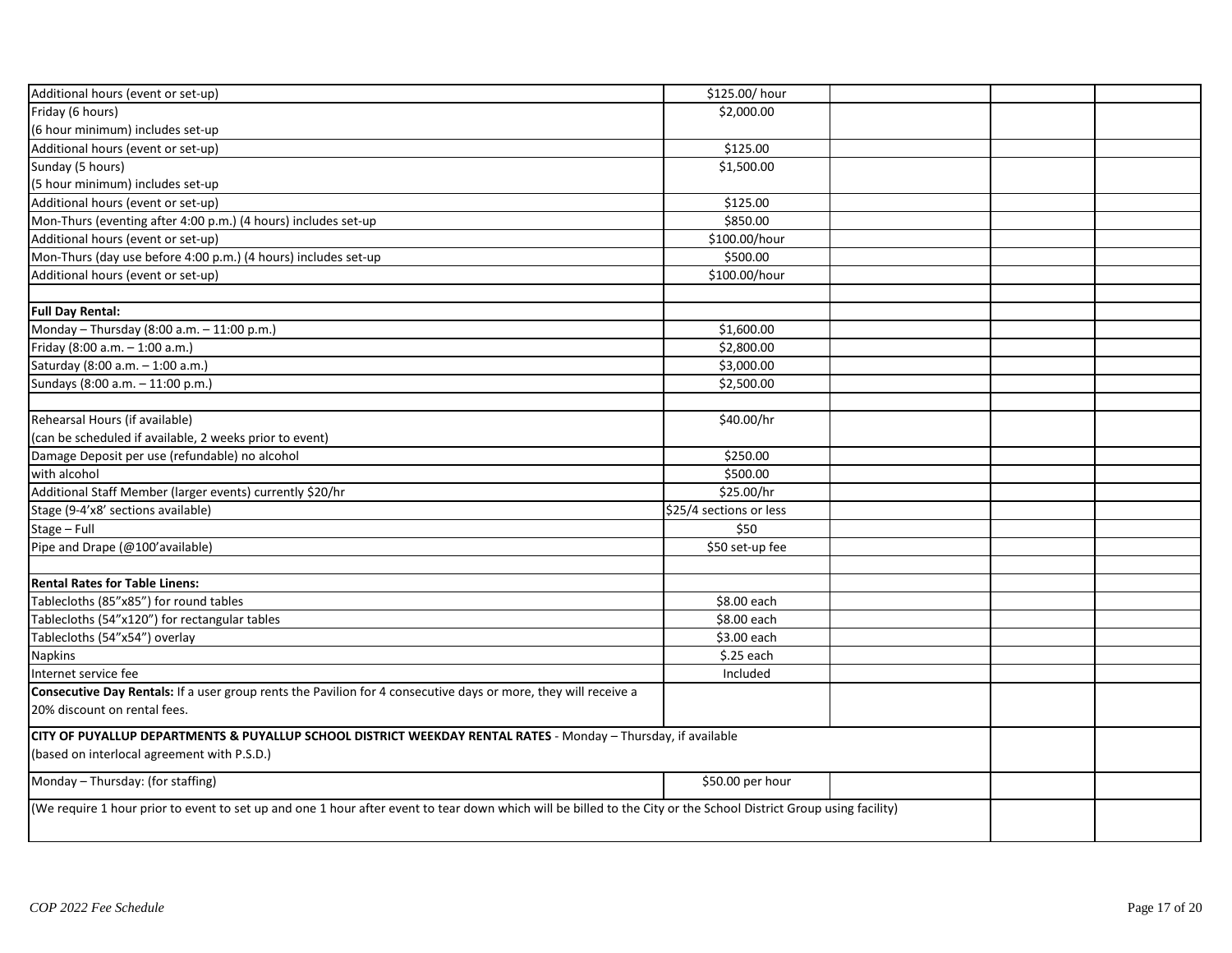| Additional hours (event or set-up)                                                                                                                                | \$125.00/hour           |  |  |
|-------------------------------------------------------------------------------------------------------------------------------------------------------------------|-------------------------|--|--|
| Friday (6 hours)                                                                                                                                                  | \$2,000.00              |  |  |
| (6 hour minimum) includes set-up                                                                                                                                  |                         |  |  |
| Additional hours (event or set-up)                                                                                                                                | \$125.00                |  |  |
| Sunday (5 hours)                                                                                                                                                  | \$1,500.00              |  |  |
| (5 hour minimum) includes set-up                                                                                                                                  |                         |  |  |
| Additional hours (event or set-up)                                                                                                                                | \$125.00                |  |  |
| Mon-Thurs (eventing after 4:00 p.m.) (4 hours) includes set-up                                                                                                    | \$850.00                |  |  |
| Additional hours (event or set-up)                                                                                                                                | \$100.00/hour           |  |  |
| Mon-Thurs (day use before 4:00 p.m.) (4 hours) includes set-up                                                                                                    | \$500.00                |  |  |
| Additional hours (event or set-up)                                                                                                                                | \$100.00/hour           |  |  |
|                                                                                                                                                                   |                         |  |  |
| <b>Full Day Rental:</b>                                                                                                                                           |                         |  |  |
| Monday - Thursday (8:00 a.m. - 11:00 p.m.)                                                                                                                        | \$1,600.00              |  |  |
| Friday (8:00 a.m. - 1:00 a.m.)                                                                                                                                    | \$2,800.00              |  |  |
| Saturday (8:00 a.m. - 1:00 a.m.)                                                                                                                                  | \$3,000.00              |  |  |
| Sundays (8:00 a.m. - 11:00 p.m.)                                                                                                                                  | \$2,500.00              |  |  |
|                                                                                                                                                                   |                         |  |  |
| Rehearsal Hours (if available)                                                                                                                                    | \$40.00/hr              |  |  |
| (can be scheduled if available, 2 weeks prior to event)                                                                                                           |                         |  |  |
| Damage Deposit per use (refundable) no alcohol                                                                                                                    | \$250.00                |  |  |
| with alcohol                                                                                                                                                      | \$500.00                |  |  |
| Additional Staff Member (larger events) currently \$20/hr                                                                                                         | \$25.00/hr              |  |  |
| Stage (9-4'x8' sections available)                                                                                                                                | \$25/4 sections or less |  |  |
| Stage - Full                                                                                                                                                      | \$50                    |  |  |
| Pipe and Drape (@100'available)                                                                                                                                   | \$50 set-up fee         |  |  |
|                                                                                                                                                                   |                         |  |  |
| <b>Rental Rates for Table Linens:</b>                                                                                                                             |                         |  |  |
| Tablecloths (85"x85") for round tables                                                                                                                            | \$8.00 each             |  |  |
| Tablecloths (54"x120") for rectangular tables                                                                                                                     | \$8.00 each             |  |  |
| Tablecloths (54"x54") overlay                                                                                                                                     | \$3.00 each             |  |  |
| <b>Napkins</b>                                                                                                                                                    | \$.25 each              |  |  |
| Internet service fee                                                                                                                                              | Included                |  |  |
| Consecutive Day Rentals: If a user group rents the Pavilion for 4 consecutive days or more, they will receive a                                                   |                         |  |  |
| 20% discount on rental fees.                                                                                                                                      |                         |  |  |
| CITY OF PUYALLUP DEPARTMENTS & PUYALLUP SCHOOL DISTRICT WEEKDAY RENTAL RATES - Monday - Thursday, if available                                                    |                         |  |  |
| (based on interlocal agreement with P.S.D.)                                                                                                                       |                         |  |  |
| Monday - Thursday: (for staffing)                                                                                                                                 | \$50.00 per hour        |  |  |
| (We require 1 hour prior to event to set up and one 1 hour after event to tear down which will be billed to the City or the School District Group using facility) |                         |  |  |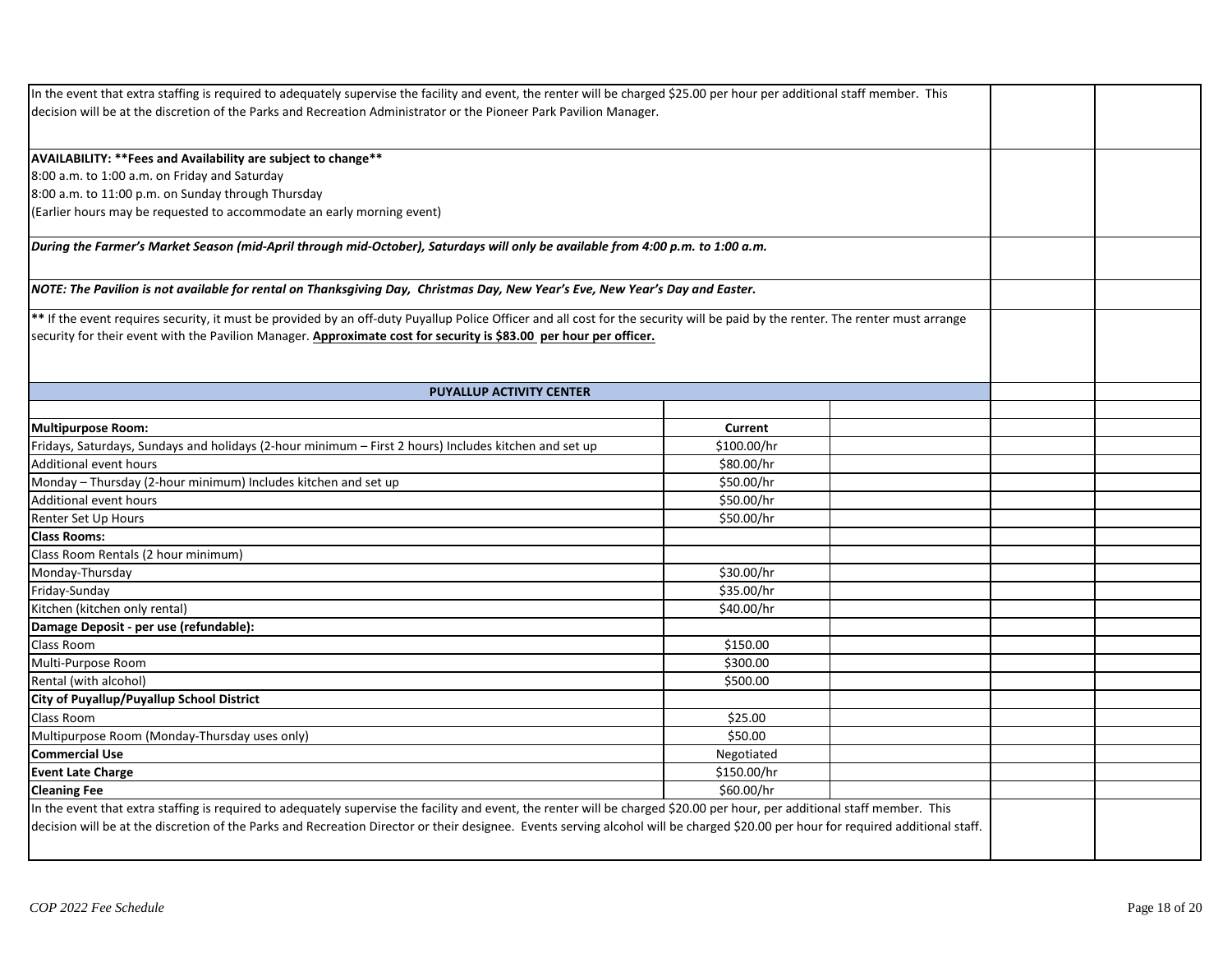| In the event that extra staffing is required to adequately supervise the facility and event, the renter will be charged \$25.00 per hour per additional staff member. This        |             |  |
|-----------------------------------------------------------------------------------------------------------------------------------------------------------------------------------|-------------|--|
| decision will be at the discretion of the Parks and Recreation Administrator or the Pioneer Park Pavilion Manager.                                                                |             |  |
|                                                                                                                                                                                   |             |  |
| AVAILABILITY: ** Fees and Availability are subject to change**                                                                                                                    |             |  |
| 8:00 a.m. to 1:00 a.m. on Friday and Saturday                                                                                                                                     |             |  |
| 8:00 a.m. to 11:00 p.m. on Sunday through Thursday                                                                                                                                |             |  |
| (Earlier hours may be requested to accommodate an early morning event)                                                                                                            |             |  |
|                                                                                                                                                                                   |             |  |
| During the Farmer's Market Season (mid-April through mid-October), Saturdays will only be available from 4:00 p.m. to 1:00 a.m.                                                   |             |  |
|                                                                                                                                                                                   |             |  |
| NOTE: The Pavilion is not available for rental on Thanksgiving Day,  Christmas Day, New Year's Eve, New Year's Day and Easter.                                                    |             |  |
| ** If the event requires security, it must be provided by an off-duty Puyallup Police Officer and all cost for the security will be paid by the renter. The renter must arrange   |             |  |
| security for their event with the Pavilion Manager. Approximate cost for security is \$83.00 per hour per officer.                                                                |             |  |
|                                                                                                                                                                                   |             |  |
|                                                                                                                                                                                   |             |  |
| <b>PUYALLUP ACTIVITY CENTER</b>                                                                                                                                                   |             |  |
|                                                                                                                                                                                   |             |  |
| <b>Multipurpose Room:</b>                                                                                                                                                         | Current     |  |
| Fridays, Saturdays, Sundays and holidays (2-hour minimum - First 2 hours) Includes kitchen and set up                                                                             | \$100.00/hr |  |
| <b>Additional event hours</b>                                                                                                                                                     | \$80.00/hr  |  |
| Monday - Thursday (2-hour minimum) Includes kitchen and set up                                                                                                                    | \$50.00/hr  |  |
| <b>Additional event hours</b>                                                                                                                                                     | \$50.00/hr  |  |
| Renter Set Up Hours                                                                                                                                                               | \$50.00/hr  |  |
| <b>Class Rooms:</b>                                                                                                                                                               |             |  |
| Class Room Rentals (2 hour minimum)                                                                                                                                               |             |  |
| Monday-Thursday                                                                                                                                                                   | \$30.00/hr  |  |
| Friday-Sunday                                                                                                                                                                     | \$35.00/hr  |  |
| Kitchen (kitchen only rental)                                                                                                                                                     | \$40.00/hr  |  |
| Damage Deposit - per use (refundable):                                                                                                                                            |             |  |
| Class Room                                                                                                                                                                        | \$150.00    |  |
| Multi-Purpose Room                                                                                                                                                                | \$300.00    |  |
| Rental (with alcohol)                                                                                                                                                             | \$500.00    |  |
| City of Puyallup/Puyallup School District                                                                                                                                         |             |  |
| Class Room                                                                                                                                                                        | \$25.00     |  |
| Multipurpose Room (Monday-Thursday uses only)                                                                                                                                     | \$50.00     |  |
| <b>Commercial Use</b>                                                                                                                                                             | Negotiated  |  |
| <b>Event Late Charge</b>                                                                                                                                                          | \$150.00/hr |  |
| <b>Cleaning Fee</b>                                                                                                                                                               | \$60.00/hr  |  |
| In the event that extra staffing is required to adequately supervise the facility and event, the renter will be charged \$20.00 per hour, per additional staff member. This       |             |  |
| decision will be at the discretion of the Parks and Recreation Director or their designee. Events serving alcohol will be charged \$20.00 per hour for required additional staff. |             |  |
|                                                                                                                                                                                   |             |  |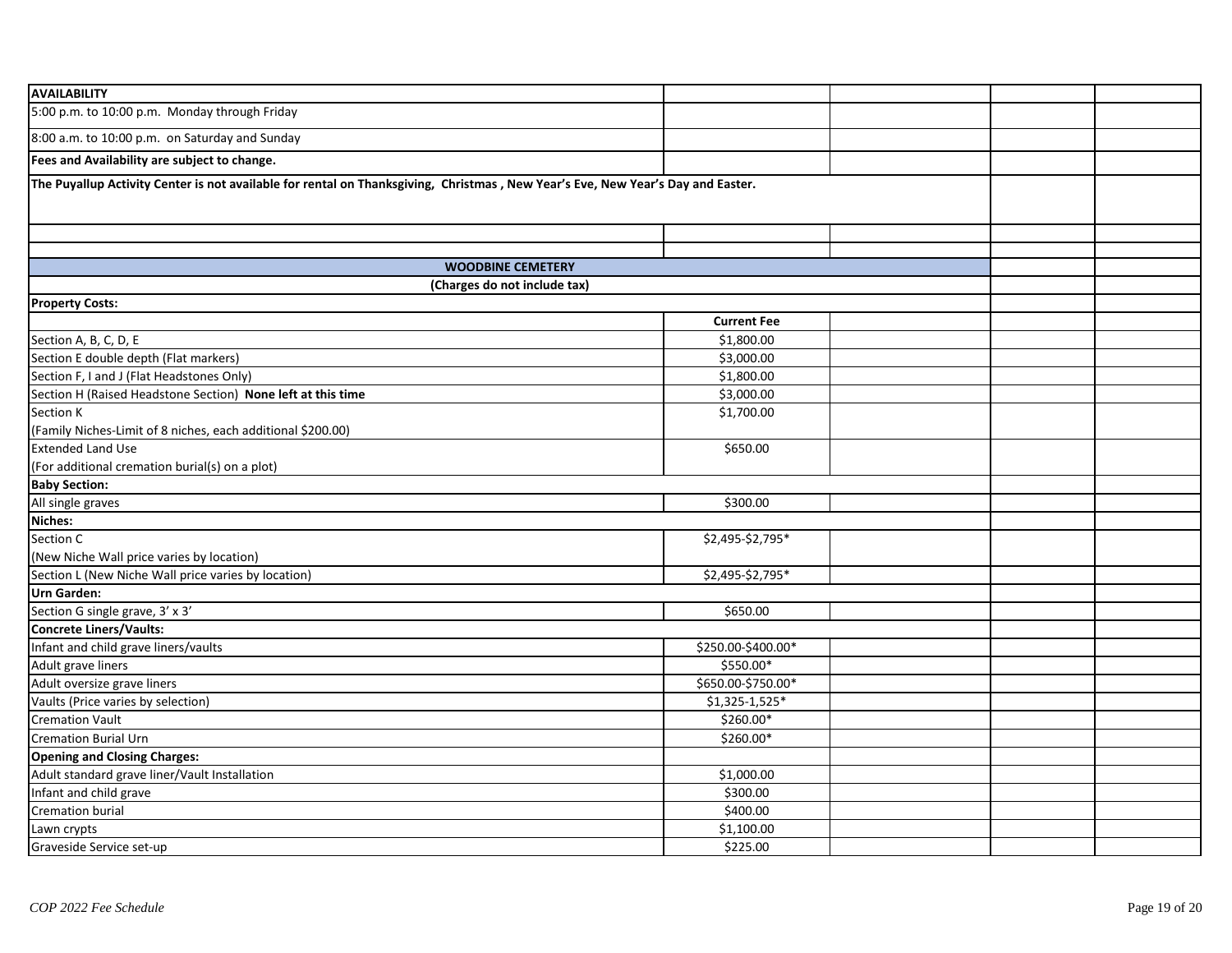| <b>AVAILABILITY</b>                                                                                                             |                    |  |  |
|---------------------------------------------------------------------------------------------------------------------------------|--------------------|--|--|
| 5:00 p.m. to 10:00 p.m. Monday through Friday                                                                                   |                    |  |  |
| 8:00 a.m. to 10:00 p.m. on Saturday and Sunday                                                                                  |                    |  |  |
| Fees and Availability are subject to change.                                                                                    |                    |  |  |
| The Puyallup Activity Center is not available for rental on Thanksgiving, Christmas, New Year's Eve, New Year's Day and Easter. |                    |  |  |
|                                                                                                                                 |                    |  |  |
|                                                                                                                                 |                    |  |  |
|                                                                                                                                 |                    |  |  |
| <b>WOODBINE CEMETERY</b>                                                                                                        |                    |  |  |
| (Charges do not include tax)                                                                                                    |                    |  |  |
| <b>Property Costs:</b>                                                                                                          |                    |  |  |
|                                                                                                                                 | <b>Current Fee</b> |  |  |
| Section A, B, C, D, E                                                                                                           | \$1,800.00         |  |  |
| Section E double depth (Flat markers)                                                                                           | \$3,000.00         |  |  |
| Section F, I and J (Flat Headstones Only)                                                                                       | \$1,800.00         |  |  |
| Section H (Raised Headstone Section) None left at this time                                                                     | \$3,000.00         |  |  |
| Section K                                                                                                                       | \$1,700.00         |  |  |
| (Family Niches-Limit of 8 niches, each additional \$200.00)                                                                     |                    |  |  |
| <b>Extended Land Use</b>                                                                                                        | \$650.00           |  |  |
| (For additional cremation burial(s) on a plot)                                                                                  |                    |  |  |
| <b>Baby Section:</b>                                                                                                            |                    |  |  |
| All single graves                                                                                                               | \$300.00           |  |  |
| Niches:                                                                                                                         |                    |  |  |
| Section C                                                                                                                       | \$2,495-\$2,795*   |  |  |
| (New Niche Wall price varies by location)                                                                                       |                    |  |  |
| Section L (New Niche Wall price varies by location)                                                                             | \$2,495-\$2,795*   |  |  |
| <b>Urn Garden:</b>                                                                                                              |                    |  |  |
| Section G single grave, 3' x 3'                                                                                                 | \$650.00           |  |  |
| Concrete Liners/Vaults:                                                                                                         |                    |  |  |
| Infant and child grave liners/vaults                                                                                            | \$250.00-\$400.00* |  |  |
| Adult grave liners                                                                                                              | \$550.00*          |  |  |
| Adult oversize grave liners                                                                                                     | \$650.00-\$750.00* |  |  |
| Vaults (Price varies by selection)                                                                                              | \$1,325-1,525*     |  |  |
| <b>Cremation Vault</b>                                                                                                          | \$260.00*          |  |  |
| <b>Cremation Burial Urn</b>                                                                                                     | \$260.00*          |  |  |
| <b>Opening and Closing Charges:</b>                                                                                             |                    |  |  |
| Adult standard grave liner/Vault Installation                                                                                   | \$1,000.00         |  |  |
| Infant and child grave                                                                                                          | \$300.00           |  |  |
| Cremation burial                                                                                                                | \$400.00           |  |  |
| Lawn crypts                                                                                                                     | \$1,100.00         |  |  |
| Graveside Service set-up                                                                                                        | \$225.00           |  |  |